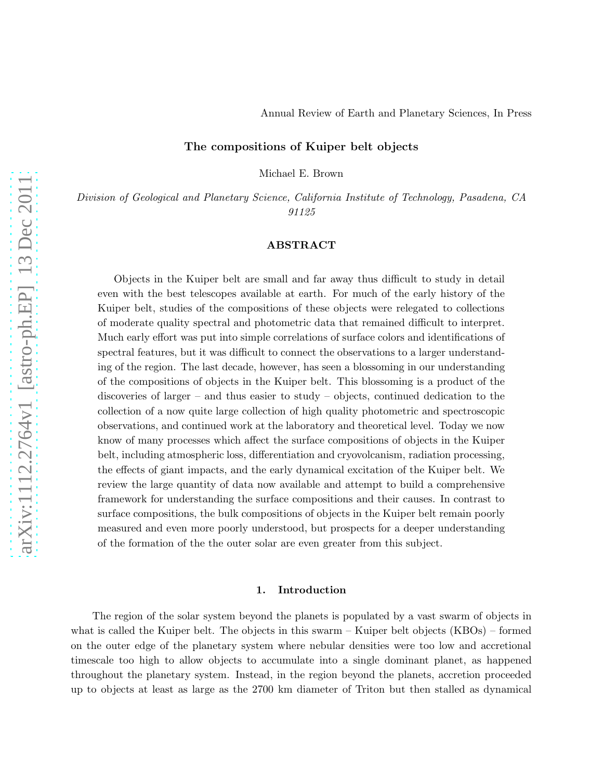# The compositions of Kuiper belt objects

Michael E. Brown

*Division of Geological and Planetary Science, California Institute of Technology, Pasadena, CA 91125*

## ABSTRACT

Objects in the Kuiper belt are small and far away thus difficult to study in detail even with the best telescopes available at earth. For much of the early history of the Kuiper belt, studies of the compositions of these objects were relegated to collections of moderate quality spectral and photometric data that remained difficult to interpret. Much early effort was put into simple correlations of surface colors and identifications of spectral features, but it was difficult to connect the observations to a larger understanding of the region. The last decade, however, has seen a blossoming in our understanding of the compositions of objects in the Kuiper belt. This blossoming is a product of the discoveries of larger – and thus easier to study – objects, continued dedication to the collection of a now quite large collection of high quality photometric and spectroscopic observations, and continued work at the laboratory and theoretical level. Today we now know of many processes which affect the surface compositions of objects in the Kuiper belt, including atmospheric loss, differentiation and cryovolcanism, radiation processing, the effects of giant impacts, and the early dynamical excitation of the Kuiper belt. We review the large quantity of data now available and attempt to build a comprehensive framework for understanding the surface compositions and their causes. In contrast to surface compositions, the bulk compositions of objects in the Kuiper belt remain poorly measured and even more poorly understood, but prospects for a deeper understanding of the formation of the the outer solar are even greater from this subject.

# 1. Introduction

The region of the solar system beyond the planets is populated by a vast swarm of objects in what is called the Kuiper belt. The objects in this swarm – Kuiper belt objects (KBOs) – formed on the outer edge of the planetary system where nebular densities were too low and accretional timescale too high to allow objects to accumulate into a single dominant planet, as happened throughout the planetary system. Instead, in the region beyond the planets, accretion proceeded up to objects at least as large as the 2700 km diameter of Triton but then stalled as dynamical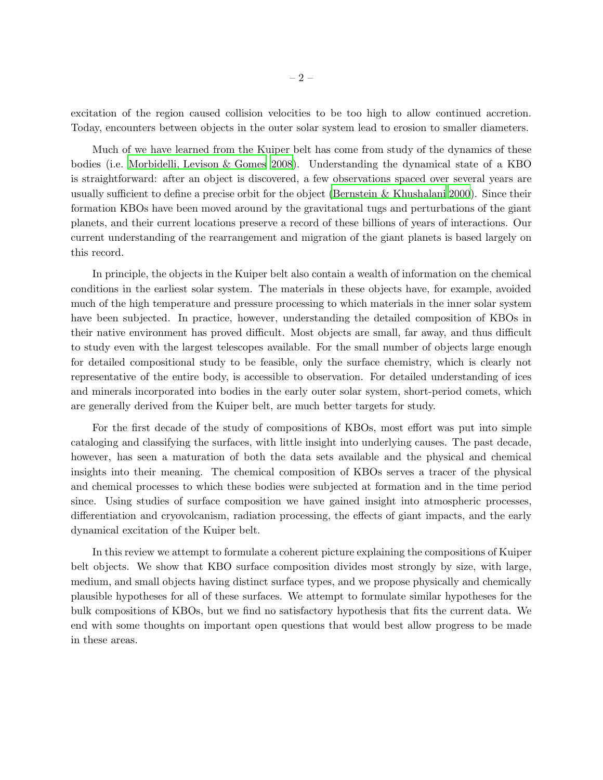excitation of the region caused collision velocities to be too high to allow continued accretion. Today, encounters between objects in the outer solar system lead to erosion to smaller diameters.

Much of we have learned from the Kuiper belt has come from study of the dynamics of these bodies (i.e. [Morbidelli, Levison & Gomes 2008](#page-36-0)). Understanding the dynamical state of a KBO is straightforward: after an object is discovered, a few observations spaced over several years are usually sufficient to define a precise orbit for the object [\(Bernstein & Khushalani 2000\)](#page-32-0). Since their formation KBOs have been moved around by the gravitational tugs and perturbations of the giant planets, and their current locations preserve a record of these billions of years of interactions. Our current understanding of the rearrangement and migration of the giant planets is based largely on this record.

In principle, the objects in the Kuiper belt also contain a wealth of information on the chemical conditions in the earliest solar system. The materials in these objects have, for example, avoided much of the high temperature and pressure processing to which materials in the inner solar system have been subjected. In practice, however, understanding the detailed composition of KBOs in their native environment has proved difficult. Most objects are small, far away, and thus difficult to study even with the largest telescopes available. For the small number of objects large enough for detailed compositional study to be feasible, only the surface chemistry, which is clearly not representative of the entire body, is accessible to observation. For detailed understanding of ices and minerals incorporated into bodies in the early outer solar system, short-period comets, which are generally derived from the Kuiper belt, are much better targets for study.

For the first decade of the study of compositions of KBOs, most effort was put into simple cataloging and classifying the surfaces, with little insight into underlying causes. The past decade, however, has seen a maturation of both the data sets available and the physical and chemical insights into their meaning. The chemical composition of KBOs serves a tracer of the physical and chemical processes to which these bodies were subjected at formation and in the time period since. Using studies of surface composition we have gained insight into atmospheric processes, differentiation and cryovolcanism, radiation processing, the effects of giant impacts, and the early dynamical excitation of the Kuiper belt.

In this review we attempt to formulate a coherent picture explaining the compositions of Kuiper belt objects. We show that KBO surface composition divides most strongly by size, with large, medium, and small objects having distinct surface types, and we propose physically and chemically plausible hypotheses for all of these surfaces. We attempt to formulate similar hypotheses for the bulk compositions of KBOs, but we find no satisfactory hypothesis that fits the current data. We end with some thoughts on important open questions that would best allow progress to be made in these areas.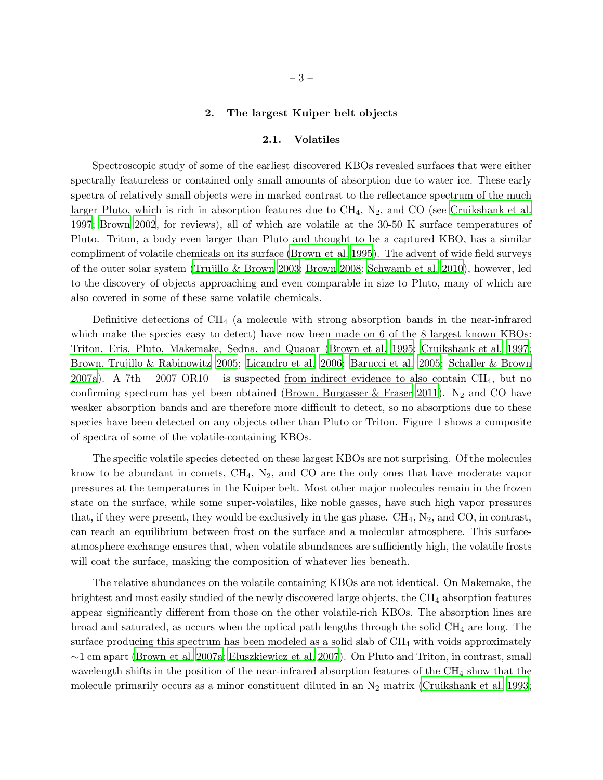## 2. The largest Kuiper belt objects

## 2.1. Volatiles

Spectroscopic study of some of the earliest discovered KBOs revealed surfaces that were either spectrally featureless or contained only small amounts of absorption due to water ice. These early spectra of relatively small objects were in marked contrast to the reflectance spectrum of the much larger Pluto, which is rich in absorption features due to  $CH_4$ ,  $N_2$ , and CO (see [Cruikshank et al.](#page-34-0) [1997;](#page-34-0) [Brown 2002](#page-32-1), for reviews), all of which are volatile at the 30-50 K surface temperatures of Pluto. Triton, a body even larger than Pluto and thought to be a captured KBO, has a similar compliment of volatile chemicals on its surface [\(Brown et al. 1995](#page-33-0)). The advent of wide field surveys of the outer solar system [\(Trujillo & Brown 2003](#page-37-0); [Brown 2008;](#page-32-2) [Schwamb et al. 2010\)](#page-37-1), however, led to the discovery of objects approaching and even comparable in size to Pluto, many of which are also covered in some of these same volatile chemicals.

Definitive detections of CH4 (a molecule with strong absorption bands in the near-infrared which make the species easy to detect) have now been made on 6 of the 8 largest known KBOs: Triton, Eris, Pluto, Makemake, Sedna, and Quaoar [\(Brown et al. 1995;](#page-33-0) [Cruikshank et al. 1997](#page-34-0); [Brown, Trujillo & Rabinowitz 2005;](#page-33-1) [Licandro et al. 2006](#page-35-0); [Barucci et al. 2005](#page-32-3); [Schaller & Brown](#page-36-1) [2007a](#page-36-1)). A 7th – 2007 OR10 – is suspected from indirect evidence to also contain CH<sub>4</sub>, but no confirming spectrum has yet been obtained [\(Brown, Burgasser](#page-33-2) & Fraser [2011](#page-33-2)). N<sub>2</sub> and CO have weaker absorption bands and are therefore more difficult to detect, so no absorptions due to these species have been detected on any objects other than Pluto or Triton. Figure 1 shows a composite of spectra of some of the volatile-containing KBOs.

The specific volatile species detected on these largest KBOs are not surprising. Of the molecules know to be abundant in comets,  $CH_4$ ,  $N_2$ , and  $CO$  are the only ones that have moderate vapor pressures at the temperatures in the Kuiper belt. Most other major molecules remain in the frozen state on the surface, while some super-volatiles, like noble gasses, have such high vapor pressures that, if they were present, they would be exclusively in the gas phase.  $CH_4$ ,  $N_2$ , and  $CO$ , in contrast, can reach an equilibrium between frost on the surface and a molecular atmosphere. This surfaceatmosphere exchange ensures that, when volatile abundances are sufficiently high, the volatile frosts will coat the surface, masking the composition of whatever lies beneath.

The relative abundances on the volatile containing KBOs are not identical. On Makemake, the brightest and most easily studied of the newly discovered large objects, the CH4 absorption features appear significantly different from those on the other volatile-rich KBOs. The absorption lines are broad and saturated, as occurs when the optical path lengths through the solid  $CH<sub>4</sub>$  are long. The surface producing this spectrum has been modeled as a solid slab of  $CH<sub>4</sub>$  with voids approximately ∼1 cm apart [\(Brown et al. 2007a](#page-32-4); [Eluszkiewicz et al. 2007](#page-34-1)). On Pluto and Triton, in contrast, small wavelength shifts in the position of the near-infrared absorption features of the CH<sub>4</sub> show that the molecule primarily occurs as a minor constituent diluted in an  $N_2$  matrix [\(Cruikshank et al. 1993](#page-34-2);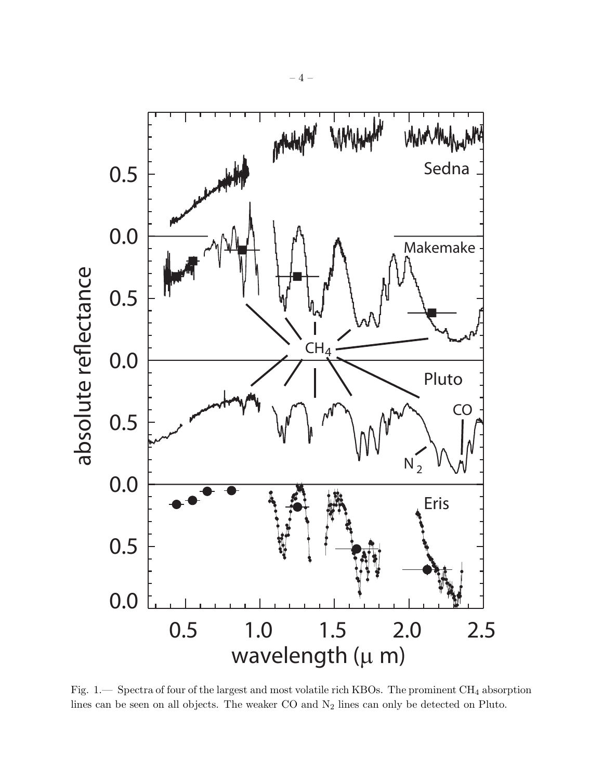

Fig. 1.— Spectra of four of the largest and most volatile rich KBOs. The prominent CH<sub>4</sub> absorption lines can be seen on all objects. The weaker CO and  $N_2$  lines can only be detected on Pluto.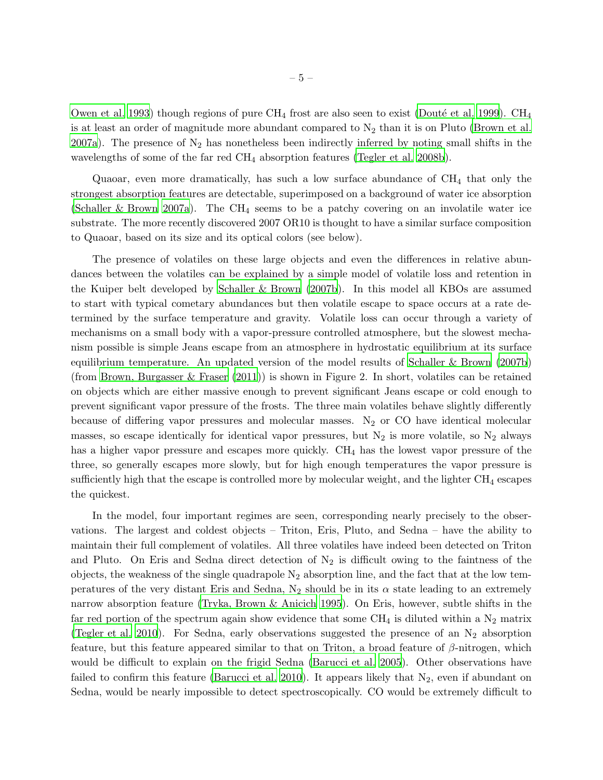[Owen et al. 1993](#page-36-2)) though regions of pure  $\text{CH}_4$  frost are also seen to exist (Douté et al. 1999).  $\text{CH}_4$ is at least an order of magnitude more abundant compared to  $N_2$  than it is on Pluto [\(Brown et al.](#page-32-4) [2007a](#page-32-4)). The presence of  $N_2$  has nonetheless been indirectly inferred by noting small shifts in the wavelengths of some of the far red CH<sub>4</sub> absorption features [\(Tegler et al. 2008b\)](#page-37-2).

Quaoar, even more dramatically, has such a low surface abundance of  $CH<sub>4</sub>$  that only the strongest absorption features are detectable, superimposed on a background of water ice absorption [\(Schaller & Brown 2007a](#page-36-1)). The CH4 seems to be a patchy covering on an involatile water ice substrate. The more recently discovered 2007 OR10 is thought to have a similar surface composition to Quaoar, based on its size and its optical colors (see below).

The presence of volatiles on these large objects and even the differences in relative abundances between the volatiles can be explained by a simple model of volatile loss and retention in the Kuiper belt developed by [Schaller & Brown \(2007b\)](#page-36-3). In this model all KBOs are assumed to start with typical cometary abundances but then volatile escape to space occurs at a rate determined by the surface temperature and gravity. Volatile loss can occur through a variety of mechanisms on a small body with a vapor-pressure controlled atmosphere, but the slowest mechanism possible is simple Jeans escape from an atmosphere in hydrostatic equilibrium at its surface equilibrium temperature. An updated version of the model results of [Schaller & Brown \(2007b\)](#page-36-3) (from [Brown, Burgasser & Fraser \(2011](#page-33-2))) is shown in Figure 2. In short, volatiles can be retained on objects which are either massive enough to prevent significant Jeans escape or cold enough to prevent significant vapor pressure of the frosts. The three main volatiles behave slightly differently because of differing vapor pressures and molecular masses.  $N_2$  or CO have identical molecular masses, so escape identically for identical vapor pressures, but  $N_2$  is more volatile, so  $N_2$  always has a higher vapor pressure and escapes more quickly. CH<sub>4</sub> has the lowest vapor pressure of the three, so generally escapes more slowly, but for high enough temperatures the vapor pressure is sufficiently high that the escape is controlled more by molecular weight, and the lighter CH<sub>4</sub> escapes the quickest.

In the model, four important regimes are seen, corresponding nearly precisely to the observations. The largest and coldest objects – Triton, Eris, Pluto, and Sedna – have the ability to maintain their full complement of volatiles. All three volatiles have indeed been detected on Triton and Pluto. On Eris and Sedna direct detection of  $N_2$  is difficult owing to the faintness of the objects, the weakness of the single quadrapole  $N_2$  absorption line, and the fact that at the low temperatures of the very distant Eris and Sedna,  $N_2$  should be in its  $\alpha$  state leading to an extremely narrow absorption feature [\(Tryka, Brown & Anicich 1995](#page-37-3)). On Eris, however, subtle shifts in the far red portion of the spectrum again show evidence that some  $\text{CH}_4$  is diluted within a N<sub>2</sub> matrix [\(Tegler et al. 2010](#page-37-4)). For Sedna, early observations suggested the presence of an  $N_2$  absorption feature, but this feature appeared similar to that on Triton, a broad feature of  $\beta$ -nitrogen, which would be difficult to explain on the frigid Sedna [\(Barucci et al. 2005\)](#page-32-3). Other observations have failed to confirm this feature [\(Barucci et al. 2010\)](#page-32-5). It appears likely that  $N_2$ , even if abundant on Sedna, would be nearly impossible to detect spectroscopically. CO would be extremely difficult to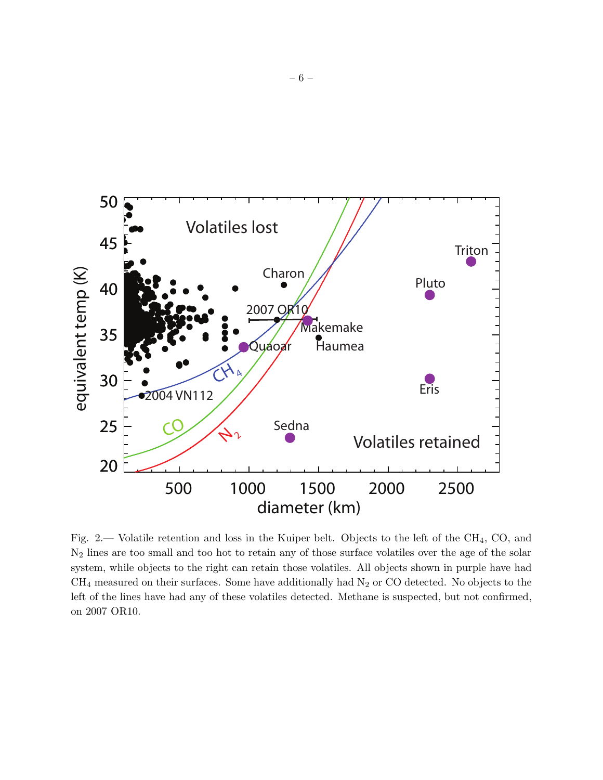

Fig. 2.— Volatile retention and loss in the Kuiper belt. Objects to the left of the CH4, CO, and N2 lines are too small and too hot to retain any of those surface volatiles over the age of the solar system, while objects to the right can retain those volatiles. All objects shown in purple have had  $CH_4$  measured on their surfaces. Some have additionally had  $N_2$  or CO detected. No objects to the left of the lines have had any of these volatiles detected. Methane is suspected, but not confirmed, on 2007 OR10.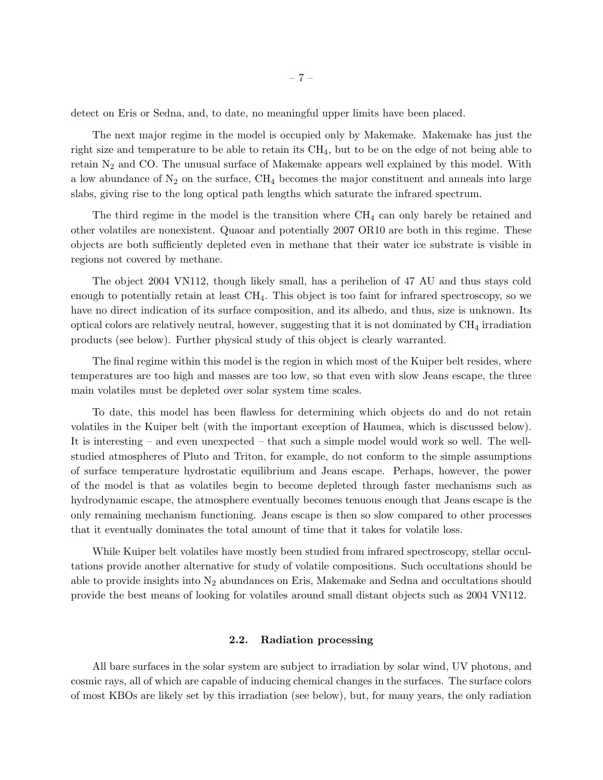detect on Eris or Sedna, and, to date, no meaningful upper limits have been placed.

The next major regime in the model is occupied only by Makemake. Makemake has just the right size and temperature to be able to retain its CH4, but to be on the edge of not being able to retain  $N_2$  and CO. The unusual surface of Makemake appears well explained by this model. With a low abundance of  $N_2$  on the surface,  $CH_4$  becomes the major constituent and anneals into large slabs, giving rise to the long optical path lengths which saturate the infrared spectrum.

The third regime in the model is the transition where  $\text{CH}_4$  can only barely be retained and other volatiles are nonexistent. Quaoar and potentially 2007 OR10 are both in this regime. These objects are both sufficiently depleted even in methane that their water ice substrate is visible in regions not covered by methane.

The object 2004 VN112, though likely small, has a perihelion of 47 AU and thus stays cold enough to potentially retain at least CH4. This object is too faint for infrared spectroscopy, so we have no direct indication of its surface composition, and its albedo, and thus, size is unknown. Its optical colors are relatively neutral, however, suggesting that it is not dominated by  $CH_4$  irradiation products (see below). Further physical study of this object is clearly warranted.

The final regime within this model is the region in which most of the Kuiper belt resides, where temperatures are too high and masses are too low, so that even with slow Jeans escape, the three main volatiles must be depleted over solar system time scales.

To date, this model has been flawless for determining which objects do and do not retain volatiles in the Kuiper belt (with the important exception of Haumea, which is discussed below). It is interesting – and even unexpected – that such a simple model would work so well. The wellstudied atmospheres of Pluto and Triton, for example, do not conform to the simple assumptions of surface temperature hydrostatic equilibrium and Jeans escape. Perhaps, however, the power of the model is that as volatiles begin to become depleted through faster mechanisms such as hydrodynamic escape, the atmosphere eventually becomes tenuous enough that Jeans escape is the only remaining mechanism functioning. Jeans escape is then so slow compared to other processes that it eventually dominates the total amount of time that it takes for volatile loss.

While Kuiper belt volatiles have mostly been studied from infrared spectroscopy, stellar occultations provide another alternative for study of volatile compositions. Such occultations should be able to provide insights into  $N_2$  abundances on Eris, Makemake and Sedna and occultations should provide the best means of looking for volatiles around small distant objects such as 2004 VN112.

## 2.2. Radiation processing

All bare surfaces in the solar system are subject to irradiation by solar wind, UV photons, and cosmic rays, all of which are capable of inducing chemical changes in the surfaces. The surface colors of most KBOs are likely set by this irradiation (see below), but, for many years, the only radiation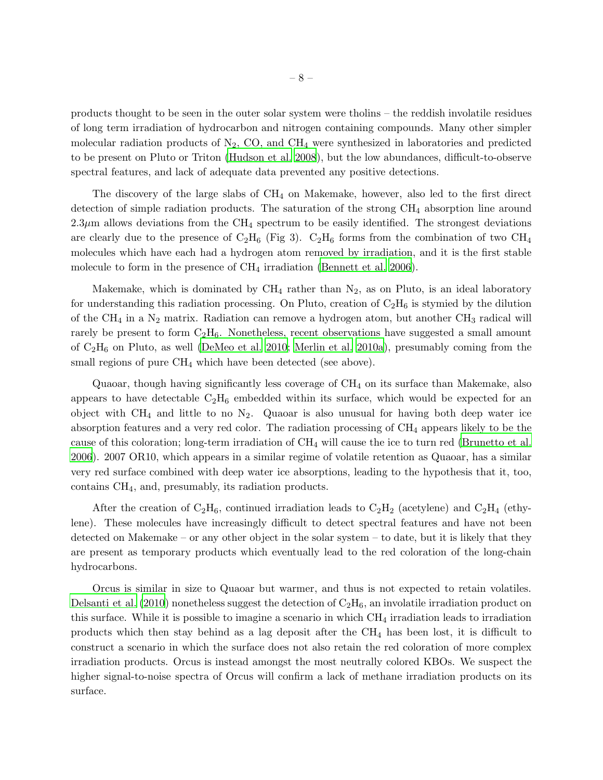products thought to be seen in the outer solar system were tholins – the reddish involatile residues of long term irradiation of hydrocarbon and nitrogen containing compounds. Many other simpler molecular radiation products of  $N_2$ , CO, and CH<sub>4</sub> were synthesized in laboratories and predicted to be present on Pluto or Triton [\(Hudson et al. 2008](#page-35-1)), but the low abundances, difficult-to-observe spectral features, and lack of adequate data prevented any positive detections.

The discovery of the large slabs of  $CH_4$  on Makemake, however, also led to the first direct detection of simple radiation products. The saturation of the strong  $CH<sub>4</sub>$  absorption line around 2.3 $\mu$ m allows deviations from the CH<sub>4</sub> spectrum to be easily identified. The strongest deviations are clearly due to the presence of  $C_2H_6$  (Fig 3).  $C_2H_6$  forms from the combination of two CH<sub>4</sub> molecules which have each had a hydrogen atom removed by irradiation, and it is the first stable molecule to form in the presence of  $\text{CH}_4$  irradiation [\(Bennett et al. 2006](#page-32-6)).

Makemake, which is dominated by  $\text{CH}_4$  rather than  $\text{N}_2$ , as on Pluto, is an ideal laboratory for understanding this radiation processing. On Pluto, creation of  $C_2H_6$  is stymied by the dilution of the CH<sub>4</sub> in a  $N_2$  matrix. Radiation can remove a hydrogen atom, but another CH<sub>3</sub> radical will rarely be present to form  $C_2H_6$ . Nonetheless, recent observations have suggested a small amount of  $C_2H_6$  on Pluto, as well [\(DeMeo et al. 2010;](#page-34-4) [Merlin et al. 2010a\)](#page-36-4), presumably coming from the small regions of pure  $\text{CH}_4$  which have been detected (see above).

Quaoar, though having significantly less coverage of  $\text{CH}_4$  on its surface than Makemake, also appears to have detectable  $C_2H_6$  embedded within its surface, which would be expected for an object with  $CH_4$  and little to no  $N_2$ . Quaoar is also unusual for having both deep water ice absorption features and a very red color. The radiation processing of CH4 appears likely to be the cause of this coloration; long-term irradiation of  $\text{CH}_4$  will cause the ice to turn red [\(Brunetto et al.](#page-33-3) [2006\)](#page-33-3). 2007 OR10, which appears in a similar regime of volatile retention as Quaoar, has a similar very red surface combined with deep water ice absorptions, leading to the hypothesis that it, too, contains CH4, and, presumably, its radiation products.

After the creation of  $C_2H_6$ , continued irradiation leads to  $C_2H_2$  (acetylene) and  $C_2H_4$  (ethylene). These molecules have increasingly difficult to detect spectral features and have not been detected on Makemake – or any other object in the solar system – to date, but it is likely that they are present as temporary products which eventually lead to the red coloration of the long-chain hydrocarbons.

Orcus is similar in size to Quaoar but warmer, and thus is not expected to retain volatiles. [Delsanti et al. \(2010](#page-34-5)) nonetheless suggest the detection of  $C_2H_6$ , an involatile irradiation product on this surface. While it is possible to imagine a scenario in which  $CH<sub>4</sub>$  irradiation leads to irradiation products which then stay behind as a lag deposit after the CH4 has been lost, it is difficult to construct a scenario in which the surface does not also retain the red coloration of more complex irradiation products. Orcus is instead amongst the most neutrally colored KBOs. We suspect the higher signal-to-noise spectra of Orcus will confirm a lack of methane irradiation products on its surface.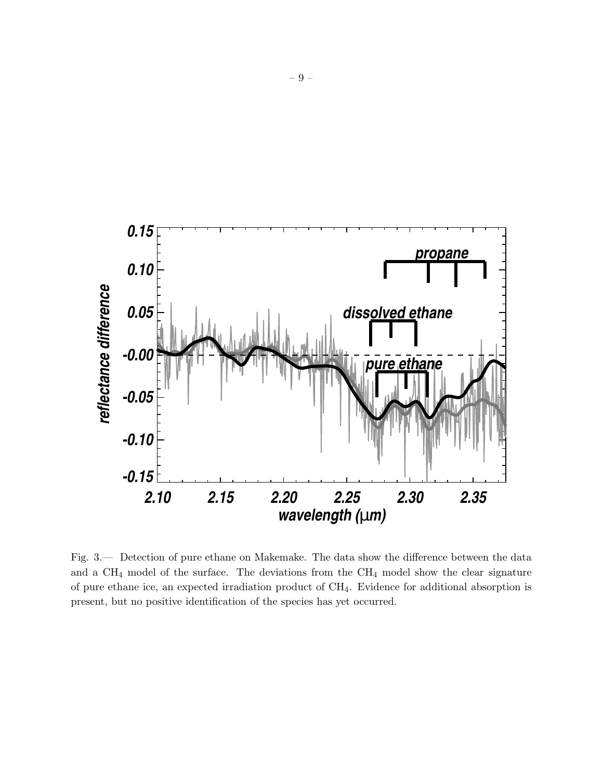

Fig. 3.— Detection of pure ethane on Makemake. The data show the difference between the data and a  $\text{CH}_4$  model of the surface. The deviations from the  $\text{CH}_4$  model show the clear signature of pure ethane ice, an expected irradiation product of CH4. Evidence for additional absorption is present, but no positive identification of the species has yet occurred.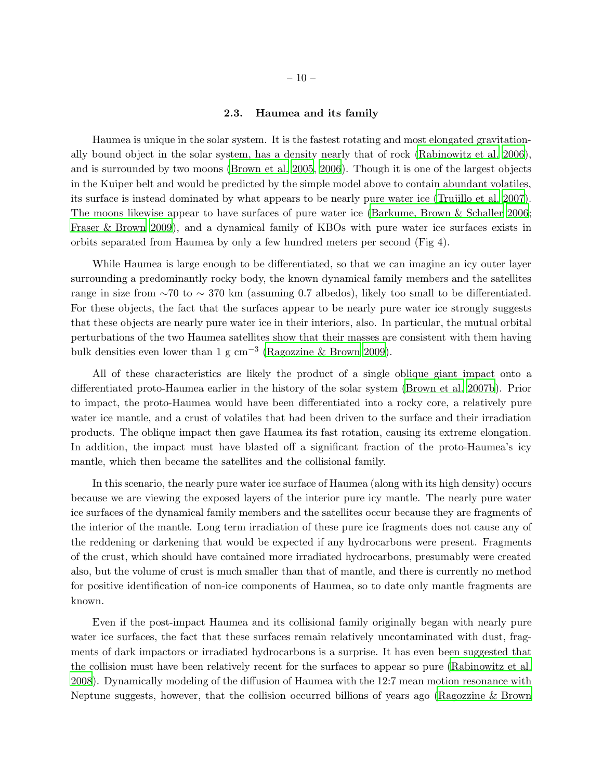## 2.3. Haumea and its family

Haumea is unique in the solar system. It is the fastest rotating and most elongated gravitationally bound object in the solar system, has a density nearly that of rock [\(Rabinowitz et al. 2006\)](#page-36-5), and is surrounded by two moons [\(Brown et al. 2005](#page-33-4), [2006\)](#page-33-5). Though it is one of the largest objects in the Kuiper belt and would be predicted by the simple model above to contain abundant volatiles, its surface is instead dominated by what appears to be nearly pure water ice [\(Trujillo et al. 2007\)](#page-37-5). The moons likewise appear to have surfaces of pure water ice [\(Barkume, Brown & Schaller 2006](#page-31-0); [Fraser & Brown 2009\)](#page-35-2), and a dynamical family of KBOs with pure water ice surfaces exists in orbits separated from Haumea by only a few hundred meters per second (Fig 4).

While Haumea is large enough to be differentiated, so that we can imagine an icy outer layer surrounding a predominantly rocky body, the known dynamical family members and the satellites range in size from ∼70 to ∼ 370 km (assuming 0.7 albedos), likely too small to be differentiated. For these objects, the fact that the surfaces appear to be nearly pure water ice strongly suggests that these objects are nearly pure water ice in their interiors, also. In particular, the mutual orbital perturbations of the two Haumea satellites show that their masses are consistent with them having bulk densities even lower than 1 g cm<sup>-3</sup> [\(Ragozzine & Brown 2009](#page-36-6)).

All of these characteristics are likely the product of a single oblique giant impact onto a differentiated proto-Haumea earlier in the history of the solar system [\(Brown et al. 2007b\)](#page-32-7). Prior to impact, the proto-Haumea would have been differentiated into a rocky core, a relatively pure water ice mantle, and a crust of volatiles that had been driven to the surface and their irradiation products. The oblique impact then gave Haumea its fast rotation, causing its extreme elongation. In addition, the impact must have blasted off a significant fraction of the proto-Haumea's icy mantle, which then became the satellites and the collisional family.

In this scenario, the nearly pure water ice surface of Haumea (along with its high density) occurs because we are viewing the exposed layers of the interior pure icy mantle. The nearly pure water ice surfaces of the dynamical family members and the satellites occur because they are fragments of the interior of the mantle. Long term irradiation of these pure ice fragments does not cause any of the reddening or darkening that would be expected if any hydrocarbons were present. Fragments of the crust, which should have contained more irradiated hydrocarbons, presumably were created also, but the volume of crust is much smaller than that of mantle, and there is currently no method for positive identification of non-ice components of Haumea, so to date only mantle fragments are known.

Even if the post-impact Haumea and its collisional family originally began with nearly pure water ice surfaces, the fact that these surfaces remain relatively uncontaminated with dust, fragments of dark impactors or irradiated hydrocarbons is a surprise. It has even been suggested that the collision must have been relatively recent for the surfaces to appear so pure [\(Rabinowitz et al.](#page-36-7) [2008\)](#page-36-7). Dynamically modeling of the diffusion of Haumea with the 12:7 mean motion resonance with Neptune suggests, however, that the collision occurred billions of years ago [\(Ragozzine & Brown](#page-36-8)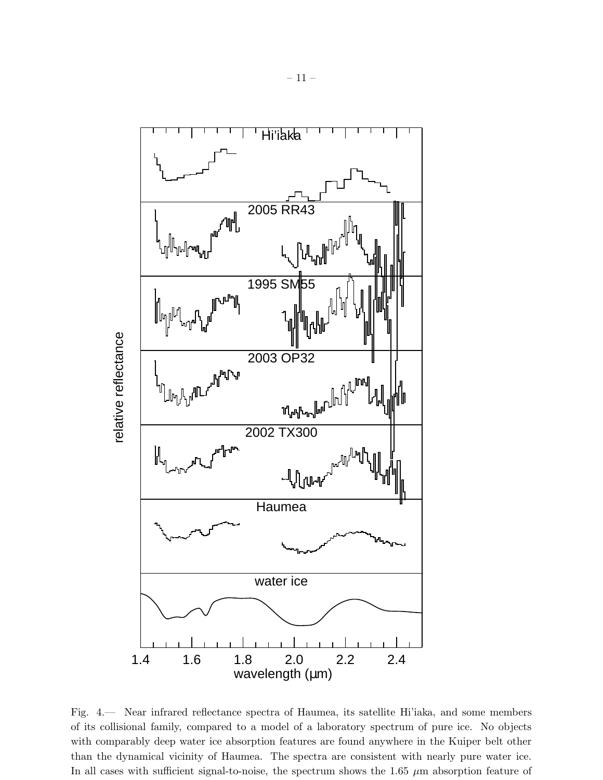

Fig. 4.— Near infrared reflectance spectra of Haumea, its satellite Hi'iaka, and some members of its collisional family, compared to a model of a laboratory spectrum of pure ice. No objects with comparably deep water ice absorption features are found anywhere in the Kuiper belt other than the dynamical vicinity of Haumea. The spectra are consistent with nearly pure water ice. In all cases with sufficient signal-to-noise, the spectrum shows the 1.65  $\mu$ m absorption feature of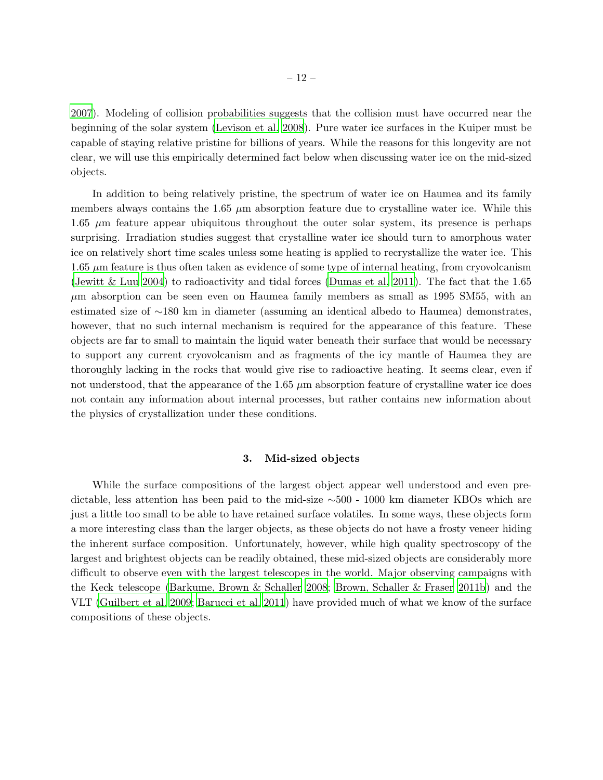[2007\)](#page-36-8). Modeling of collision probabilities suggests that the collision must have occurred near the beginning of the solar system [\(Levison et al. 2008\)](#page-35-3). Pure water ice surfaces in the Kuiper must be capable of staying relative pristine for billions of years. While the reasons for this longevity are not clear, we will use this empirically determined fact below when discussing water ice on the mid-sized objects.

In addition to being relatively pristine, the spectrum of water ice on Haumea and its family members always contains the 1.65  $\mu$ m absorption feature due to crystalline water ice. While this 1.65  $\mu$ m feature appear ubiquitous throughout the outer solar system, its presence is perhaps surprising. Irradiation studies suggest that crystalline water ice should turn to amorphous water ice on relatively short time scales unless some heating is applied to recrystallize the water ice. This 1.65 µm feature is thus often taken as evidence of some type of internal heating, from cryovolcanism [\(Jewitt & Luu 2004](#page-35-4)) to radioactivity and tidal forces [\(Dumas](#page-34-6) et al. [2011\)](#page-34-6). The fact that the 1.65  $\mu$ m absorption can be seen even on Haumea family members as small as 1995 SM55, with an estimated size of ∼180 km in diameter (assuming an identical albedo to Haumea) demonstrates, however, that no such internal mechanism is required for the appearance of this feature. These objects are far to small to maintain the liquid water beneath their surface that would be necessary to support any current cryovolcanism and as fragments of the icy mantle of Haumea they are thoroughly lacking in the rocks that would give rise to radioactive heating. It seems clear, even if not understood, that the appearance of the  $1.65 \mu m$  absorption feature of crystalline water ice does not contain any information about internal processes, but rather contains new information about the physics of crystallization under these conditions.

### 3. Mid-sized objects

While the surface compositions of the largest object appear well understood and even predictable, less attention has been paid to the mid-size ∼500 - 1000 km diameter KBOs which are just a little too small to be able to have retained surface volatiles. In some ways, these objects form a more interesting class than the larger objects, as these objects do not have a frosty veneer hiding the inherent surface composition. Unfortunately, however, while high quality spectroscopy of the largest and brightest objects can be readily obtained, these mid-sized objects are considerably more difficult to observe even with the largest telescopes in the world. Major observing campaigns with the Keck telescope [\(Barkume, Brown & Schaller 2008;](#page-31-1) [Brown, Schaller & Fraser 2011b](#page-33-6)) and the VLT [\(Guilbert et al. 2009](#page-35-5); [Barucci et al. 2011](#page-32-8)) have provided much of what we know of the surface compositions of these objects.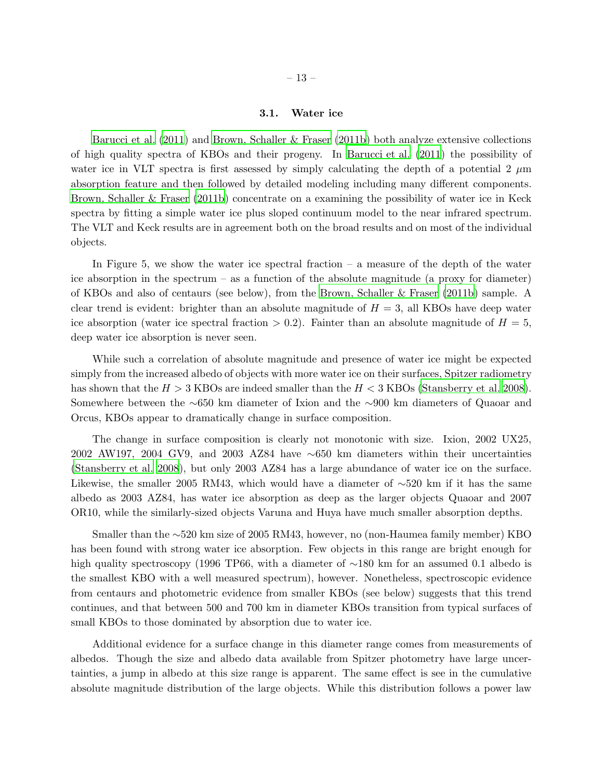### 3.1. Water ice

[Barucci et al. \(2011](#page-32-8)) and [Brown, Schaller & Fraser \(2011b\)](#page-33-6) both analyze extensive collections of high quality spectra of KBOs and their progeny. In [Barucci](#page-32-8) et al. [\(2011\)](#page-32-8) the possibility of water ice in VLT spectra is first assessed by simply calculating the depth of a potential 2  $\mu$ m absorption feature and then followed by detailed modeling including many different components. [Brown, Schaller & Fraser \(2011b](#page-33-6)) concentrate on a examining the possibility of water ice in Keck spectra by fitting a simple water ice plus sloped continuum model to the near infrared spectrum. The VLT and Keck results are in agreement both on the broad results and on most of the individual objects.

In Figure 5, we show the water ice spectral fraction  $-$  a measure of the depth of the water ice absorption in the spectrum – as a function of the absolute magnitude (a proxy for diameter) of KBOs and also of centaurs (see below), from the [Brown, Schaller & Fraser \(2011b](#page-33-6)) sample. A clear trend is evident: brighter than an absolute magnitude of  $H = 3$ , all KBOs have deep water ice absorption (water ice spectral fraction  $> 0.2$ ). Fainter than an absolute magnitude of  $H = 5$ , deep water ice absorption is never seen.

While such a correlation of absolute magnitude and presence of water ice might be expected simply from the increased albedo of objects with more water ice on their surfaces, Spitzer radiometry has shown that the  $H > 3$  KBOs are indeed smaller than the  $H < 3$  KBOs [\(Stansberry et al. 2008\)](#page-37-6). Somewhere between the ∼650 km diameter of Ixion and the ∼900 km diameters of Quaoar and Orcus, KBOs appear to dramatically change in surface composition.

The change in surface composition is clearly not monotonic with size. Ixion, 2002 UX25, 2002 AW197, 2004 GV9, and 2003 AZ84 have ∼650 km diameters within their uncertainties [\(Stansberry et al. 2008\)](#page-37-6), but only 2003 AZ84 has a large abundance of water ice on the surface. Likewise, the smaller 2005 RM43, which would have a diameter of  $\sim$ 520 km if it has the same albedo as 2003 AZ84, has water ice absorption as deep as the larger objects Quaoar and 2007 OR10, while the similarly-sized objects Varuna and Huya have much smaller absorption depths.

Smaller than the ∼520 km size of 2005 RM43, however, no (non-Haumea family member) KBO has been found with strong water ice absorption. Few objects in this range are bright enough for high quality spectroscopy (1996 TP66, with a diameter of ∼180 km for an assumed 0.1 albedo is the smallest KBO with a well measured spectrum), however. Nonetheless, spectroscopic evidence from centaurs and photometric evidence from smaller KBOs (see below) suggests that this trend continues, and that between 500 and 700 km in diameter KBOs transition from typical surfaces of small KBOs to those dominated by absorption due to water ice.

Additional evidence for a surface change in this diameter range comes from measurements of albedos. Though the size and albedo data available from Spitzer photometry have large uncertainties, a jump in albedo at this size range is apparent. The same effect is see in the cumulative absolute magnitude distribution of the large objects. While this distribution follows a power law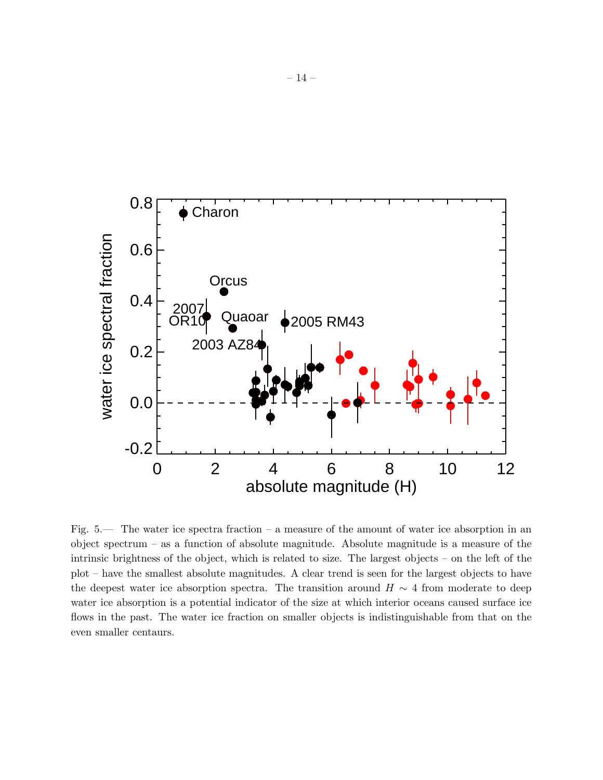

Fig. 5.— The water ice spectra fraction – a measure of the amount of water ice absorption in an object spectrum – as a function of absolute magnitude. Absolute magnitude is a measure of the intrinsic brightness of the object, which is related to size. The largest objects – on the left of the plot – have the smallest absolute magnitudes. A clear trend is seen for the largest objects to have the deepest water ice absorption spectra. The transition around  $H \sim 4$  from moderate to deep water ice absorption is a potential indicator of the size at which interior oceans caused surface ice flows in the past. The water ice fraction on smaller objects is indistinguishable from that on the even smaller centaurs.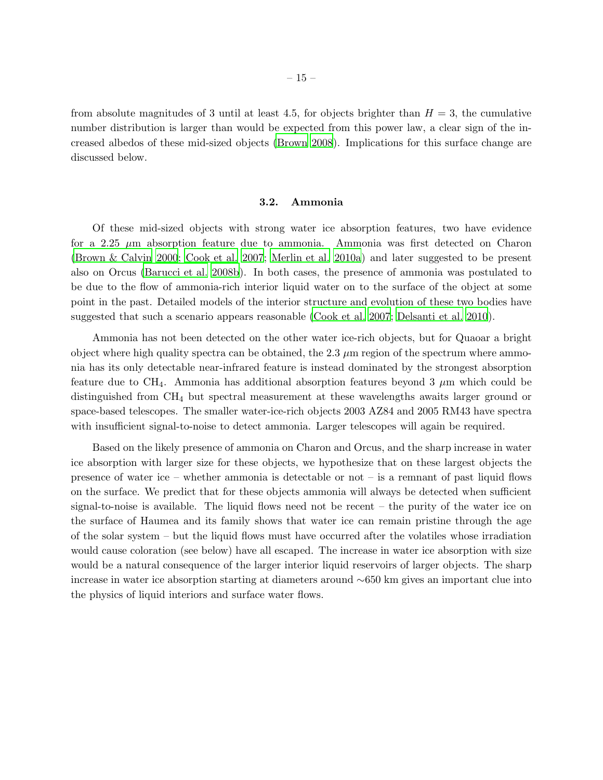from absolute magnitudes of 3 until at least 4.5, for objects brighter than  $H = 3$ , the cumulative number distribution is larger than would be expected from this power law, a clear sign of the increased albedos of these mid-sized objects [\(Brown 2008](#page-32-2)). Implications for this surface change are discussed below.

#### 3.2. Ammonia

Of these mid-sized objects with strong water ice absorption features, two have evidence for a 2.25  $\mu$ m absorption feature due to ammonia. Ammonia was first detected on Charon [\(Brown & Calvin 2000;](#page-33-7) [Cook et al. 2007;](#page-33-8) [Merlin et al. 2010a\)](#page-36-4) and later suggested to be present also on Orcus [\(Barucci et al. 2008b](#page-32-9)). In both cases, the presence of ammonia was postulated to be due to the flow of ammonia-rich interior liquid water on to the surface of the object at some point in the past. Detailed models of the interior structure and evolution of these two bodies have suggested that such a scenario appears reasonable [\(Cook et al. 2007](#page-33-8); [Delsanti et al. 2010](#page-34-5)).

Ammonia has not been detected on the other water ice-rich objects, but for Quaoar a bright object where high quality spectra can be obtained, the 2.3  $\mu$ m region of the spectrum where ammonia has its only detectable near-infrared feature is instead dominated by the strongest absorption feature due to CH<sub>4</sub>. Ammonia has additional absorption features beyond 3  $\mu$ m which could be distinguished from CH4 but spectral measurement at these wavelengths awaits larger ground or space-based telescopes. The smaller water-ice-rich objects 2003 AZ84 and 2005 RM43 have spectra with insufficient signal-to-noise to detect ammonia. Larger telescopes will again be required.

Based on the likely presence of ammonia on Charon and Orcus, and the sharp increase in water ice absorption with larger size for these objects, we hypothesize that on these largest objects the presence of water ice – whether ammonia is detectable or not – is a remnant of past liquid flows on the surface. We predict that for these objects ammonia will always be detected when sufficient signal-to-noise is available. The liquid flows need not be recent – the purity of the water ice on the surface of Haumea and its family shows that water ice can remain pristine through the age of the solar system – but the liquid flows must have occurred after the volatiles whose irradiation would cause coloration (see below) have all escaped. The increase in water ice absorption with size would be a natural consequence of the larger interior liquid reservoirs of larger objects. The sharp increase in water ice absorption starting at diameters around ∼650 km gives an important clue into the physics of liquid interiors and surface water flows.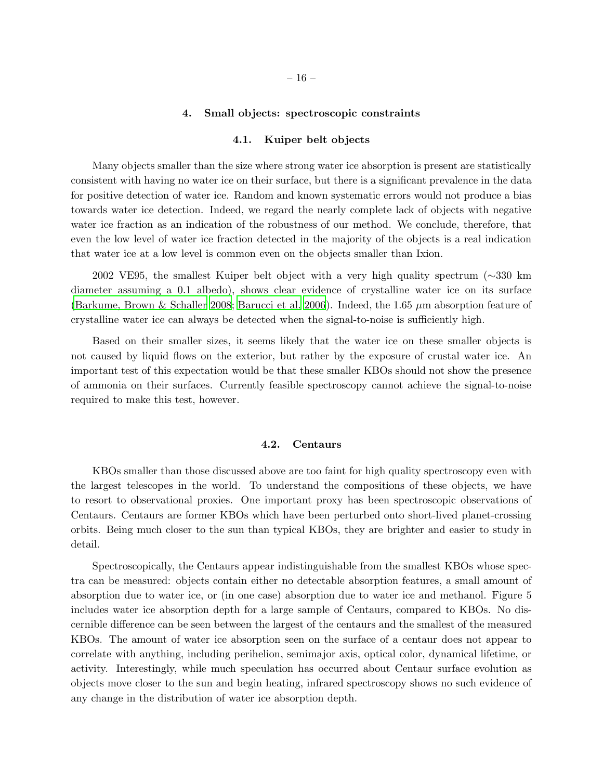## 4. Small objects: spectroscopic constraints

#### 4.1. Kuiper belt objects

Many objects smaller than the size where strong water ice absorption is present are statistically consistent with having no water ice on their surface, but there is a significant prevalence in the data for positive detection of water ice. Random and known systematic errors would not produce a bias towards water ice detection. Indeed, we regard the nearly complete lack of objects with negative water ice fraction as an indication of the robustness of our method. We conclude, therefore, that even the low level of water ice fraction detected in the majority of the objects is a real indication that water ice at a low level is common even on the objects smaller than Ixion.

2002 VE95, the smallest Kuiper belt object with a very high quality spectrum (∼330 km diameter assuming a 0.1 albedo), shows clear evidence of crystalline water ice on its surface [\(Barkume, Brown & Schaller 2008](#page-31-1); [Barucci et al. 2006\)](#page-32-10). Indeed, the 1.65 µm absorption feature of crystalline water ice can always be detected when the signal-to-noise is sufficiently high.

Based on their smaller sizes, it seems likely that the water ice on these smaller objects is not caused by liquid flows on the exterior, but rather by the exposure of crustal water ice. An important test of this expectation would be that these smaller KBOs should not show the presence of ammonia on their surfaces. Currently feasible spectroscopy cannot achieve the signal-to-noise required to make this test, however.

# 4.2. Centaurs

KBOs smaller than those discussed above are too faint for high quality spectroscopy even with the largest telescopes in the world. To understand the compositions of these objects, we have to resort to observational proxies. One important proxy has been spectroscopic observations of Centaurs. Centaurs are former KBOs which have been perturbed onto short-lived planet-crossing orbits. Being much closer to the sun than typical KBOs, they are brighter and easier to study in detail.

Spectroscopically, the Centaurs appear indistinguishable from the smallest KBOs whose spectra can be measured: objects contain either no detectable absorption features, a small amount of absorption due to water ice, or (in one case) absorption due to water ice and methanol. Figure 5 includes water ice absorption depth for a large sample of Centaurs, compared to KBOs. No discernible difference can be seen between the largest of the centaurs and the smallest of the measured KBOs. The amount of water ice absorption seen on the surface of a centaur does not appear to correlate with anything, including perihelion, semimajor axis, optical color, dynamical lifetime, or activity. Interestingly, while much speculation has occurred about Centaur surface evolution as objects move closer to the sun and begin heating, infrared spectroscopy shows no such evidence of any change in the distribution of water ice absorption depth.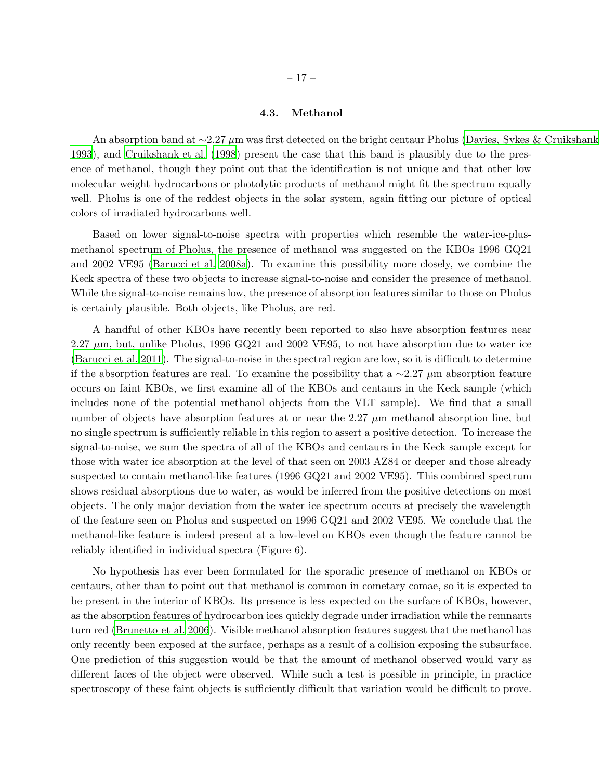## 4.3. Methanol

An absorption band at ∼2.27 µm was first detected on the bright centaur Pholus [\(Davies, Sykes & Cruikshank](#page-34-7) [1993\)](#page-34-7), and [Cruikshank et al. \(1998\)](#page-33-9) present the case that this band is plausibly due to the presence of methanol, though they point out that the identification is not unique and that other low molecular weight hydrocarbons or photolytic products of methanol might fit the spectrum equally well. Pholus is one of the reddest objects in the solar system, again fitting our picture of optical colors of irradiated hydrocarbons well.

Based on lower signal-to-noise spectra with properties which resemble the water-ice-plusmethanol spectrum of Pholus, the presence of methanol was suggested on the KBOs 1996 GQ21 and 2002 VE95 [\(Barucci et al. 2008a](#page-32-11)). To examine this possibility more closely, we combine the Keck spectra of these two objects to increase signal-to-noise and consider the presence of methanol. While the signal-to-noise remains low, the presence of absorption features similar to those on Pholus is certainly plausible. Both objects, like Pholus, are red.

A handful of other KBOs have recently been reported to also have absorption features near 2.27  $\mu$ m, but, unlike Pholus, 1996 GQ21 and 2002 VE95, to not have absorption due to water ice [\(Barucci et al. 2011\)](#page-32-8). The signal-to-noise in the spectral region are low, so it is difficult to determine if the absorption features are real. To examine the possibility that a  $\sim$ 2.27 µm absorption feature occurs on faint KBOs, we first examine all of the KBOs and centaurs in the Keck sample (which includes none of the potential methanol objects from the VLT sample). We find that a small number of objects have absorption features at or near the  $2.27 \mu m$  methanol absorption line, but no single spectrum is sufficiently reliable in this region to assert a positive detection. To increase the signal-to-noise, we sum the spectra of all of the KBOs and centaurs in the Keck sample except for those with water ice absorption at the level of that seen on 2003 AZ84 or deeper and those already suspected to contain methanol-like features (1996 GQ21 and 2002 VE95). This combined spectrum shows residual absorptions due to water, as would be inferred from the positive detections on most objects. The only major deviation from the water ice spectrum occurs at precisely the wavelength of the feature seen on Pholus and suspected on 1996 GQ21 and 2002 VE95. We conclude that the methanol-like feature is indeed present at a low-level on KBOs even though the feature cannot be reliably identified in individual spectra (Figure 6).

No hypothesis has ever been formulated for the sporadic presence of methanol on KBOs or centaurs, other than to point out that methanol is common in cometary comae, so it is expected to be present in the interior of KBOs. Its presence is less expected on the surface of KBOs, however, as the absorption features of hydrocarbon ices quickly degrade under irradiation while the remnants turn red [\(Brunetto et al. 2006](#page-33-3)). Visible methanol absorption features suggest that the methanol has only recently been exposed at the surface, perhaps as a result of a collision exposing the subsurface. One prediction of this suggestion would be that the amount of methanol observed would vary as different faces of the object were observed. While such a test is possible in principle, in practice spectroscopy of these faint objects is sufficiently difficult that variation would be difficult to prove.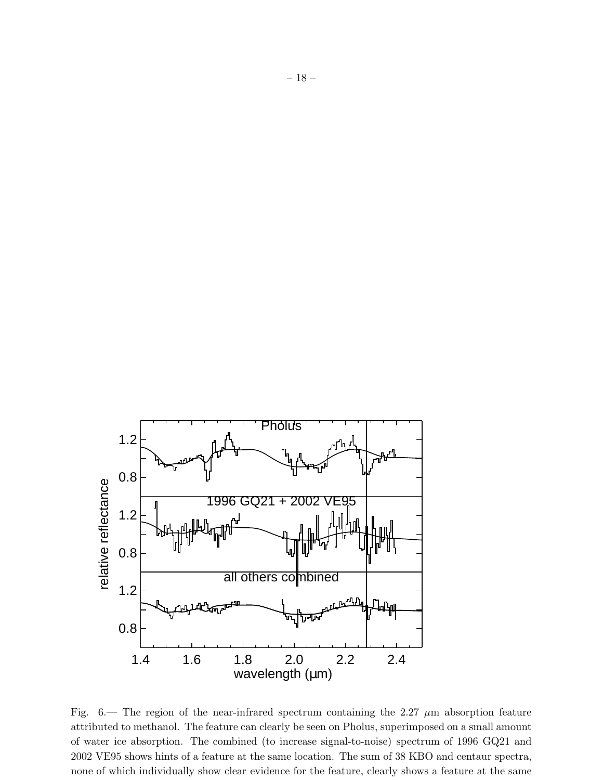

Fig. 6.— The region of the near-infrared spectrum containing the 2.27  $\mu$ m absorption feature attributed to methanol. The feature can clearly be seen on Pholus, superimposed on a small amount of water ice absorption. The combined (to increase signal-to-noise) spectrum of 1996 GQ21 and 2002 VE95 shows hints of a feature at the same location. The sum of 38 KBO and centaur spectra, none of which individually show clear evidence for the feature, clearly shows a feature at the same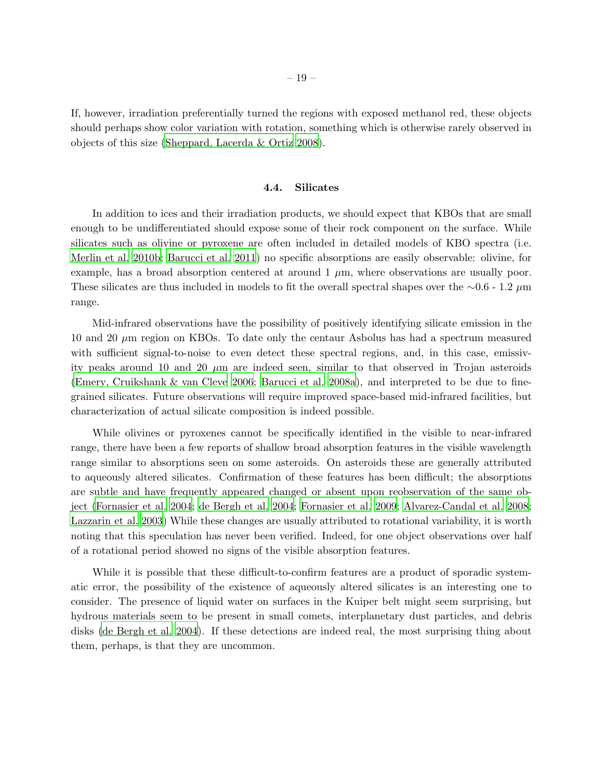If, however, irradiation preferentially turned the regions with exposed methanol red, these objects should perhaps show color variation with rotation, something which is otherwise rarely observed in objects of this size [\(Sheppard, Lacerda & Ortiz 2008](#page-37-7)).

### 4.4. Silicates

In addition to ices and their irradiation products, we should expect that KBOs that are small enough to be undifferentiated should expose some of their rock component on the surface. While silicates such as olivine or pyroxene are often included in detailed models of KBO spectra (i.e. [Merlin et al. 2010b](#page-36-9); [Barucci et al. 2011](#page-32-8)) no specific absorptions are easily observable: olivine, for example, has a broad absorption centered at around  $1 \mu m$ , where observations are usually poor. These silicates are thus included in models to fit the overall spectral shapes over the ∼0.6 - 1.2  $\mu$ m range.

Mid-infrared observations have the possibility of positively identifying silicate emission in the 10 and 20  $\mu$ m region on KBOs. To date only the centaur Asbolus has had a spectrum measured with sufficient signal-to-noise to even detect these spectral regions, and, in this case, emissivity peaks around 10 and 20  $\mu$ m are indeed seen, similar to that observed in Trojan asteroids [\(Emery, Cruikshank & van Cleve 2006](#page-34-8); [Barucci et al. 2008a](#page-32-11)), and interpreted to be due to finegrained silicates. Future observations will require improved space-based mid-infrared facilities, but characterization of actual silicate composition is indeed possible.

While olivines or pyroxenes cannot be specifically identified in the visible to near-infrared range, there have been a few reports of shallow broad absorption features in the visible wavelength range similar to absorptions seen on some asteroids. On asteroids these are generally attributed to aqueously altered silicates. Confirmation of these features has been difficult; the absorptions are subtle and have frequently appeared changed or absent upon reobservation of the same object [\(Fornasier et al. 2004](#page-34-9); [de Bergh et al. 2004](#page-34-10); [Fornasier et al. 2009;](#page-34-11) [Alvarez-Candal et al. 2008](#page-31-2); [Lazzarin et al. 2003](#page-35-6)) While these changes are usually attributed to rotational variability, it is worth noting that this speculation has never been verified. Indeed, for one object observations over half of a rotational period showed no signs of the visible absorption features.

While it is possible that these difficult-to-confirm features are a product of sporadic systematic error, the possibility of the existence of aqueously altered silicates is an interesting one to consider. The presence of liquid water on surfaces in the Kuiper belt might seem surprising, but hydrous materials seem to be present in small comets, interplanetary dust particles, and debris disks [\(de Bergh et al. 2004\)](#page-34-10). If these detections are indeed real, the most surprising thing about them, perhaps, is that they are uncommon.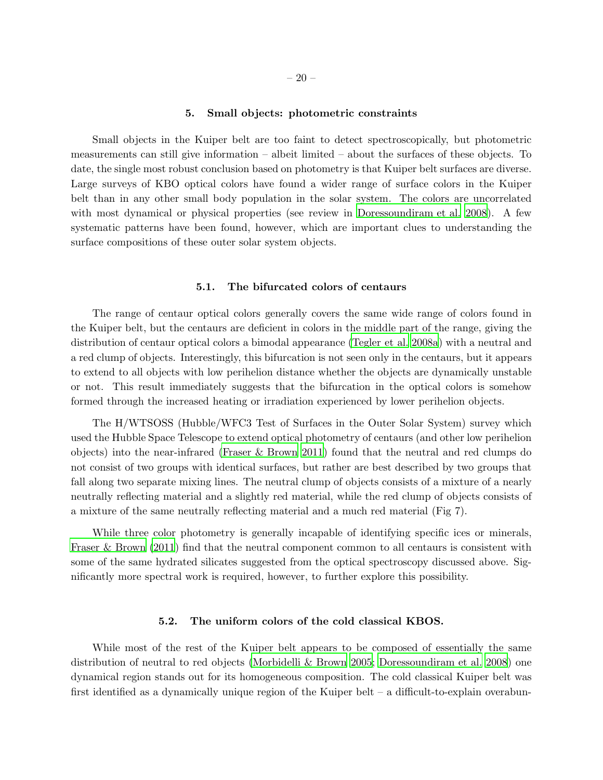## 5. Small objects: photometric constraints

Small objects in the Kuiper belt are too faint to detect spectroscopically, but photometric measurements can still give information – albeit limited – about the surfaces of these objects. To date, the single most robust conclusion based on photometry is that Kuiper belt surfaces are diverse. Large surveys of KBO optical colors have found a wider range of surface colors in the Kuiper belt than in any other small body population in the solar system. The colors are uncorrelated with most dynamical or physical properties (see review in [Doressoundiram et al. 2008\)](#page-34-12). A few systematic patterns have been found, however, which are important clues to understanding the surface compositions of these outer solar system objects.

# 5.1. The bifurcated colors of centaurs

The range of centaur optical colors generally covers the same wide range of colors found in the Kuiper belt, but the centaurs are deficient in colors in the middle part of the range, giving the distribution of centaur optical colors a bimodal appearance [\(Tegler et al. 2008a](#page-37-8)) with a neutral and a red clump of objects. Interestingly, this bifurcation is not seen only in the centaurs, but it appears to extend to all objects with low perihelion distance whether the objects are dynamically unstable or not. This result immediately suggests that the bifurcation in the optical colors is somehow formed through the increased heating or irradiation experienced by lower perihelion objects.

The H/WTSOSS (Hubble/WFC3 Test of Surfaces in the Outer Solar System) survey which used the Hubble Space Telescope to extend optical photometry of centaurs (and other low perihelion objects) into the near-infrared (Fraser  $&$  Brown 2011) found that the neutral and red clumps do not consist of two groups with identical surfaces, but rather are best described by two groups that fall along two separate mixing lines. The neutral clump of objects consists of a mixture of a nearly neutrally reflecting material and a slightly red material, while the red clump of objects consists of a mixture of the same neutrally reflecting material and a much red material (Fig 7).

While three color photometry is generally incapable of identifying specific ices or minerals, [Fraser & Brown \(2011](#page-35-7)) find that the neutral component common to all centaurs is consistent with some of the same hydrated silicates suggested from the optical spectroscopy discussed above. Significantly more spectral work is required, however, to further explore this possibility.

## 5.2. The uniform colors of the cold classical KBOS.

While most of the rest of the Kuiper belt appears to be composed of essentially the same distribution of neutral to red objects [\(Morbidelli & Brown 2005;](#page-36-10) [Doressoundiram et al. 2008](#page-34-12)) one dynamical region stands out for its homogeneous composition. The cold classical Kuiper belt was first identified as a dynamically unique region of the Kuiper belt – a difficult-to-explain overabun-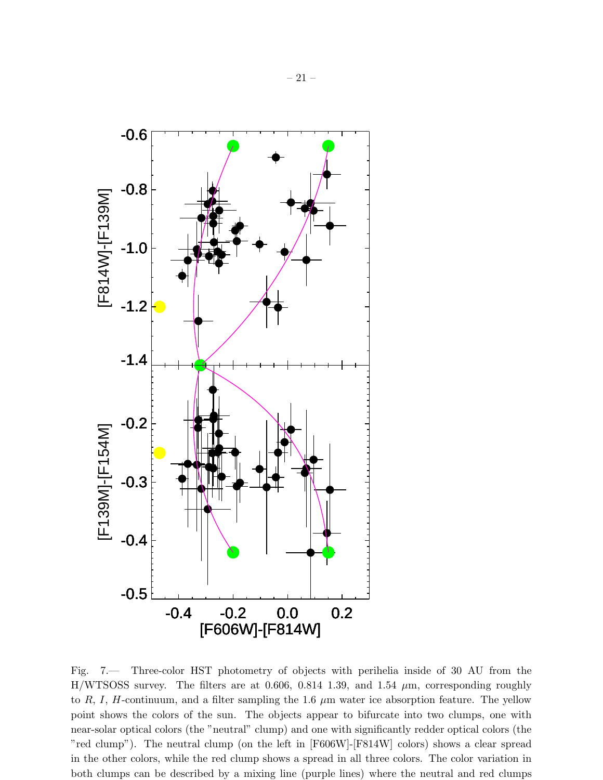

Fig. 7.— Three-color HST photometry of objects with perihelia inside of 30 AU from the H/WTSOSS survey. The filters are at 0.606, 0.814 1.39, and 1.54  $\mu$ m, corresponding roughly to R, I, H-continuum, and a filter sampling the 1.6  $\mu$ m water ice absorption feature. The yellow point shows the colors of the sun. The objects appear to bifurcate into two clumps, one with near-solar optical colors (the "neutral" clump) and one with significantly redder optical colors (the "red clump"). The neutral clump (on the left in [F606W]-[F814W] colors) shows a clear spread in the other colors, while the red clump shows a spread in all three colors. The color variation in both clumps can be described by a mixing line (purple lines) where the neutral and red clumps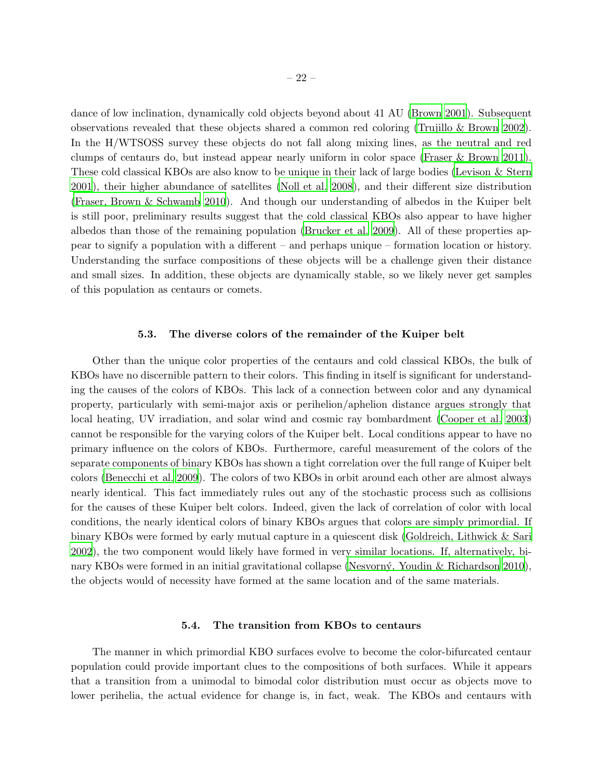dance of low inclination, dynamically cold objects beyond about 41 AU [\(Brown 2001](#page-32-12)). Subsequent observations revealed that these objects shared a common red coloring [\(Trujillo & Brown 2002\)](#page-37-9). In the H/WTSOSS survey these objects do not fall along mixing lines, as the neutral and red clumps of centaurs do, but instead appear nearly uniform in color space [\(Fraser & Brown 2011\)](#page-35-7). These cold classical KBOs are also know to be unique in their lack of large bodies [\(Levison & Stern](#page-35-8) [2001\)](#page-35-8), their higher abundance of satellites [\(Noll et al. 2008](#page-36-11)), and their different size distribution [\(Fraser, Brown & Schwamb 2010](#page-35-9)). And though our understanding of albedos in the Kuiper belt is still poor, preliminary results suggest that the cold classical KBOs also appear to have higher albedos than those of the remaining population [\(Brucker et al. 2009](#page-33-10)). All of these properties appear to signify a population with a different – and perhaps unique – formation location or history. Understanding the surface compositions of these objects will be a challenge given their distance and small sizes. In addition, these objects are dynamically stable, so we likely never get samples of this population as centaurs or comets.

### 5.3. The diverse colors of the remainder of the Kuiper belt

Other than the unique color properties of the centaurs and cold classical KBOs, the bulk of KBOs have no discernible pattern to their colors. This finding in itself is significant for understanding the causes of the colors of KBOs. This lack of a connection between color and any dynamical property, particularly with semi-major axis or perihelion/aphelion distance argues strongly that local heating, UV irradiation, and solar wind and cosmic ray bombardment [\(Cooper et al. 2003\)](#page-33-11) cannot be responsible for the varying colors of the Kuiper belt. Local conditions appear to have no primary influence on the colors of KBOs. Furthermore, careful measurement of the colors of the separate components of binary KBOs has shown a tight correlation over the full range of Kuiper belt colors [\(Benecchi et al. 2009](#page-32-13)). The colors of two KBOs in orbit around each other are almost always nearly identical. This fact immediately rules out any of the stochastic process such as collisions for the causes of these Kuiper belt colors. Indeed, given the lack of correlation of color with local conditions, the nearly identical colors of binary KBOs argues that colors are simply primordial. If binary KBOs were formed by early mutual capture in a quiescent disk [\(Goldreich, Lithwick & Sari](#page-35-10) [2002\)](#page-35-10), the two component would likely have formed in very similar locations. If, alternatively, binary KBOs were formed in an initial gravitational collapse (Nesvorný, Youdin & Richardson 2010), the objects would of necessity have formed at the same location and of the same materials.

## 5.4. The transition from KBOs to centaurs

The manner in which primordial KBO surfaces evolve to become the color-bifurcated centaur population could provide important clues to the compositions of both surfaces. While it appears that a transition from a unimodal to bimodal color distribution must occur as objects move to lower perihelia, the actual evidence for change is, in fact, weak. The KBOs and centaurs with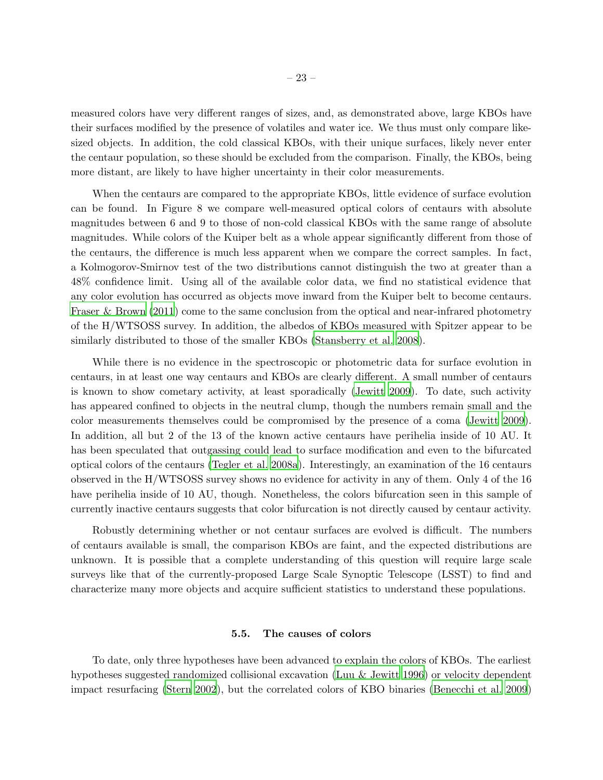measured colors have very different ranges of sizes, and, as demonstrated above, large KBOs have their surfaces modified by the presence of volatiles and water ice. We thus must only compare likesized objects. In addition, the cold classical KBOs, with their unique surfaces, likely never enter the centaur population, so these should be excluded from the comparison. Finally, the KBOs, being more distant, are likely to have higher uncertainty in their color measurements.

When the centaurs are compared to the appropriate KBOs, little evidence of surface evolution can be found. In Figure 8 we compare well-measured optical colors of centaurs with absolute magnitudes between 6 and 9 to those of non-cold classical KBOs with the same range of absolute magnitudes. While colors of the Kuiper belt as a whole appear significantly different from those of the centaurs, the difference is much less apparent when we compare the correct samples. In fact, a Kolmogorov-Smirnov test of the two distributions cannot distinguish the two at greater than a 48% confidence limit. Using all of the available color data, we find no statistical evidence that any color evolution has occurred as objects move inward from the Kuiper belt to become centaurs. [Fraser & Brown \(2011](#page-35-7)) come to the same conclusion from the optical and near-infrared photometry of the H/WTSOSS survey. In addition, the albedos of KBOs measured with Spitzer appear to be similarly distributed to those of the smaller KBOs [\(Stansberry et al. 2008](#page-37-6)).

While there is no evidence in the spectroscopic or photometric data for surface evolution in centaurs, in at least one way centaurs and KBOs are clearly different. A small number of centaurs is known to show cometary activity, at least sporadically [\(Jewitt 2009](#page-35-11)). To date, such activity has appeared confined to objects in the neutral clump, though the numbers remain small and the color measurements themselves could be compromised by the presence of a coma [\(Jewitt 2009\)](#page-35-11). In addition, all but 2 of the 13 of the known active centaurs have perihelia inside of 10 AU. It has been speculated that outgassing could lead to surface modification and even to the bifurcated optical colors of the centaurs [\(Tegler et al. 2008a](#page-37-8)). Interestingly, an examination of the 16 centaurs observed in the H/WTSOSS survey shows no evidence for activity in any of them. Only 4 of the 16 have perihelia inside of 10 AU, though. Nonetheless, the colors bifurcation seen in this sample of currently inactive centaurs suggests that color bifurcation is not directly caused by centaur activity.

Robustly determining whether or not centaur surfaces are evolved is difficult. The numbers of centaurs available is small, the comparison KBOs are faint, and the expected distributions are unknown. It is possible that a complete understanding of this question will require large scale surveys like that of the currently-proposed Large Scale Synoptic Telescope (LSST) to find and characterize many more objects and acquire sufficient statistics to understand these populations.

#### 5.5. The causes of colors

To date, only three hypotheses have been advanced to explain the colors of KBOs. The earliest hypotheses suggested randomized collisional excavation [\(Luu & Jewitt 1996\)](#page-35-12) or velocity dependent impact resurfacing [\(Stern 2002](#page-37-10)), but the correlated colors of KBO binaries [\(Benecchi et al. 2009\)](#page-32-13)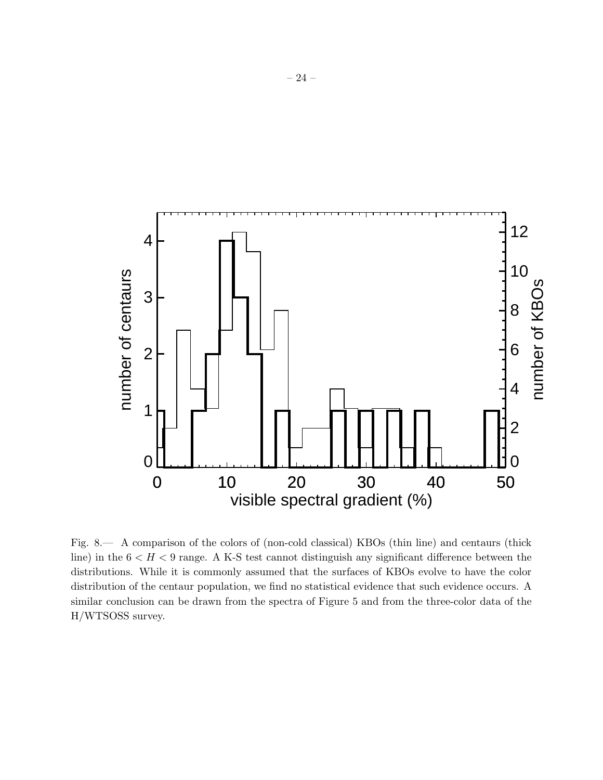

Fig. 8.— A comparison of the colors of (non-cold classical) KBOs (thin line) and centaurs (thick line) in the  $6 < H < 9$  range. A K-S test cannot distinguish any significant difference between the distributions. While it is commonly assumed that the surfaces of KBOs evolve to have the color distribution of the centaur population, we find no statistical evidence that such evidence occurs. A similar conclusion can be drawn from the spectra of Figure 5 and from the three-color data of the H/WTSOSS survey.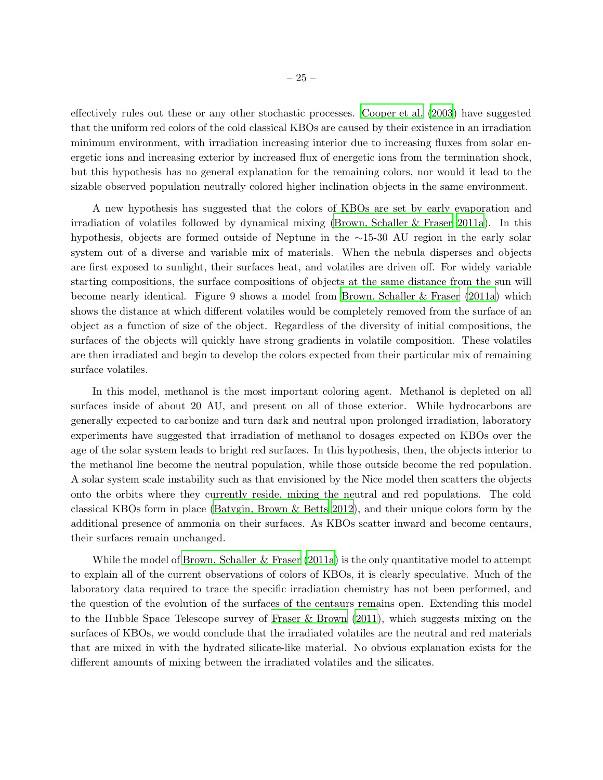effectively rules out these or any other stochastic processes. [Cooper et al. \(2003](#page-33-11)) have suggested that the uniform red colors of the cold classical KBOs are caused by their existence in an irradiation minimum environment, with irradiation increasing interior due to increasing fluxes from solar energetic ions and increasing exterior by increased flux of energetic ions from the termination shock, but this hypothesis has no general explanation for the remaining colors, nor would it lead to the sizable observed population neutrally colored higher inclination objects in the same environment.

A new hypothesis has suggested that the colors of KBOs are set by early evaporation and irradiation of volatiles followed by dynamical mixing [\(Brown, Schaller & Fraser 2011a\)](#page-33-12). In this hypothesis, objects are formed outside of Neptune in the ∼15-30 AU region in the early solar system out of a diverse and variable mix of materials. When the nebula disperses and objects are first exposed to sunlight, their surfaces heat, and volatiles are driven off. For widely variable starting compositions, the surface compositions of objects at the same distance from the sun will become nearly identical. Figure 9 shows a model from [Brown, Schaller & Fraser \(2011a](#page-33-12)) which shows the distance at which different volatiles would be completely removed from the surface of an object as a function of size of the object. Regardless of the diversity of initial compositions, the surfaces of the objects will quickly have strong gradients in volatile composition. These volatiles are then irradiated and begin to develop the colors expected from their particular mix of remaining surface volatiles.

In this model, methanol is the most important coloring agent. Methanol is depleted on all surfaces inside of about 20 AU, and present on all of those exterior. While hydrocarbons are generally expected to carbonize and turn dark and neutral upon prolonged irradiation, laboratory experiments have suggested that irradiation of methanol to dosages expected on KBOs over the age of the solar system leads to bright red surfaces. In this hypothesis, then, the objects interior to the methanol line become the neutral population, while those outside become the red population. A solar system scale instability such as that envisioned by the Nice model then scatters the objects onto the orbits where they currently reside, mixing the neutral and red populations. The cold classical KBOs form in place [\(Batygin, Brown & Betts 2012](#page-32-14)), and their unique colors form by the additional presence of ammonia on their surfaces. As KBOs scatter inward and become centaurs, their surfaces remain unchanged.

While the model of Brown, Schaller  $&$  Fraser (2011a) is the only quantitative model to attempt to explain all of the current observations of colors of KBOs, it is clearly speculative. Much of the laboratory data required to trace the specific irradiation chemistry has not been performed, and the question of the evolution of the surfaces of the centaurs remains open. Extending this model to the Hubble Space Telescope survey of [Fraser & Brown \(2011](#page-35-7)), which suggests mixing on the surfaces of KBOs, we would conclude that the irradiated volatiles are the neutral and red materials that are mixed in with the hydrated silicate-like material. No obvious explanation exists for the different amounts of mixing between the irradiated volatiles and the silicates.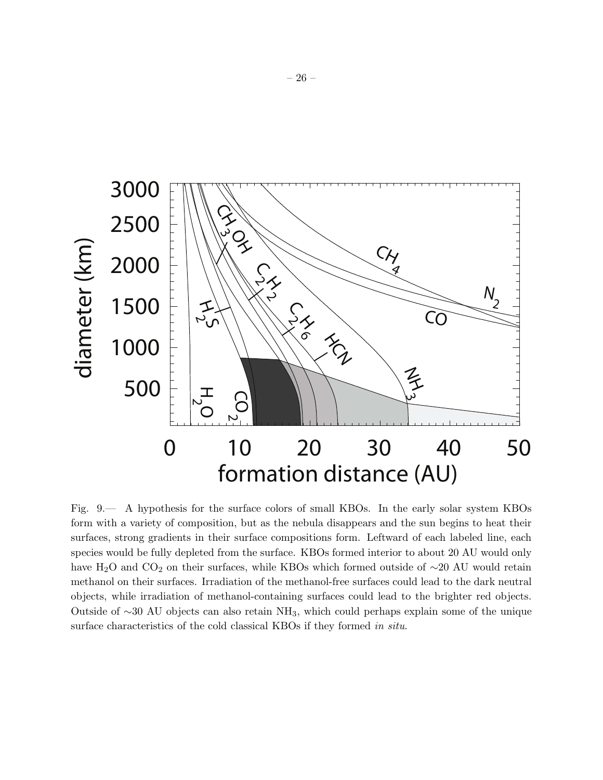

Fig. 9.— A hypothesis for the surface colors of small KBOs. In the early solar system KBOs form with a variety of composition, but as the nebula disappears and the sun begins to heat their surfaces, strong gradients in their surface compositions form. Leftward of each labeled line, each species would be fully depleted from the surface. KBOs formed interior to about 20 AU would only have H<sub>2</sub>O and CO<sub>2</sub> on their surfaces, while KBOs which formed outside of  $\sim$ 20 AU would retain methanol on their surfaces. Irradiation of the methanol-free surfaces could lead to the dark neutral objects, while irradiation of methanol-containing surfaces could lead to the brighter red objects. Outside of ∼30 AU objects can also retain NH3, which could perhaps explain some of the unique surface characteristics of the cold classical KBOs if they formed *in situ*.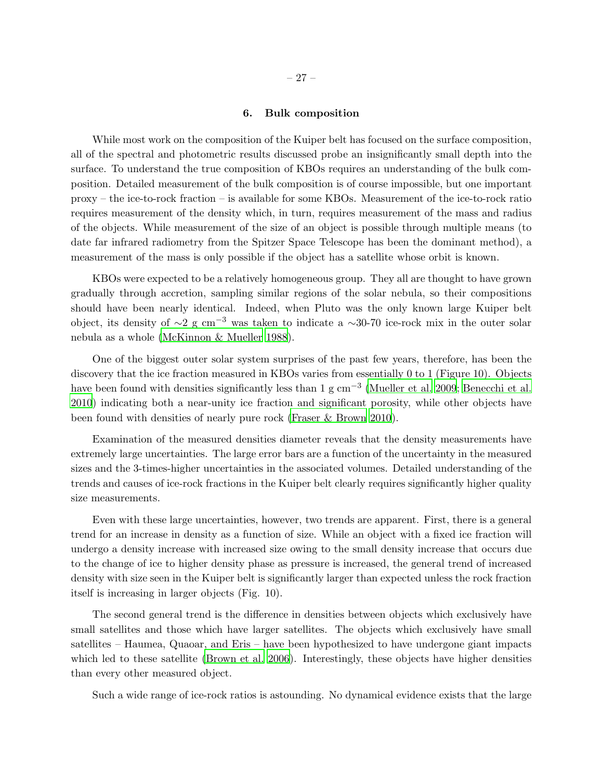### 6. Bulk composition

While most work on the composition of the Kuiper belt has focused on the surface composition, all of the spectral and photometric results discussed probe an insignificantly small depth into the surface. To understand the true composition of KBOs requires an understanding of the bulk composition. Detailed measurement of the bulk composition is of course impossible, but one important proxy – the ice-to-rock fraction – is available for some KBOs. Measurement of the ice-to-rock ratio requires measurement of the density which, in turn, requires measurement of the mass and radius of the objects. While measurement of the size of an object is possible through multiple means (to date far infrared radiometry from the Spitzer Space Telescope has been the dominant method), a measurement of the mass is only possible if the object has a satellite whose orbit is known.

KBOs were expected to be a relatively homogeneous group. They all are thought to have grown gradually through accretion, sampling similar regions of the solar nebula, so their compositions should have been nearly identical. Indeed, when Pluto was the only known large Kuiper belt object, its density of  $\sim$ 2 g cm<sup>-3</sup> was taken to indicate a  $\sim$ 30-70 ice-rock mix in the outer solar nebula as a whole [\(McKinnon & Mueller 1988](#page-35-13)).

One of the biggest outer solar system surprises of the past few years, therefore, has been the discovery that the ice fraction measured in KBOs varies from essentially 0 to 1 (Figure 10). Objects have been found with densities significantly less than 1 g cm<sup>-3</sup> [\(Mueller et al. 2009;](#page-36-13) [Benecchi et al.](#page-32-15) [2010\)](#page-32-15) indicating both a near-unity ice fraction and significant porosity, while other objects have been found with densities of nearly pure rock [\(Fraser & Brown](#page-35-14) [2010\)](#page-35-14).

Examination of the measured densities diameter reveals that the density measurements have extremely large uncertainties. The large error bars are a function of the uncertainty in the measured sizes and the 3-times-higher uncertainties in the associated volumes. Detailed understanding of the trends and causes of ice-rock fractions in the Kuiper belt clearly requires significantly higher quality size measurements.

Even with these large uncertainties, however, two trends are apparent. First, there is a general trend for an increase in density as a function of size. While an object with a fixed ice fraction will undergo a density increase with increased size owing to the small density increase that occurs due to the change of ice to higher density phase as pressure is increased, the general trend of increased density with size seen in the Kuiper belt is significantly larger than expected unless the rock fraction itself is increasing in larger objects (Fig. 10).

The second general trend is the difference in densities between objects which exclusively have small satellites and those which have larger satellites. The objects which exclusively have small satellites – Haumea, Quaoar, and Eris – have been hypothesized to have undergone giant impacts which led to these satellite [\(Brown et al. 2006](#page-33-5)). Interestingly, these objects have higher densities than every other measured object.

Such a wide range of ice-rock ratios is astounding. No dynamical evidence exists that the large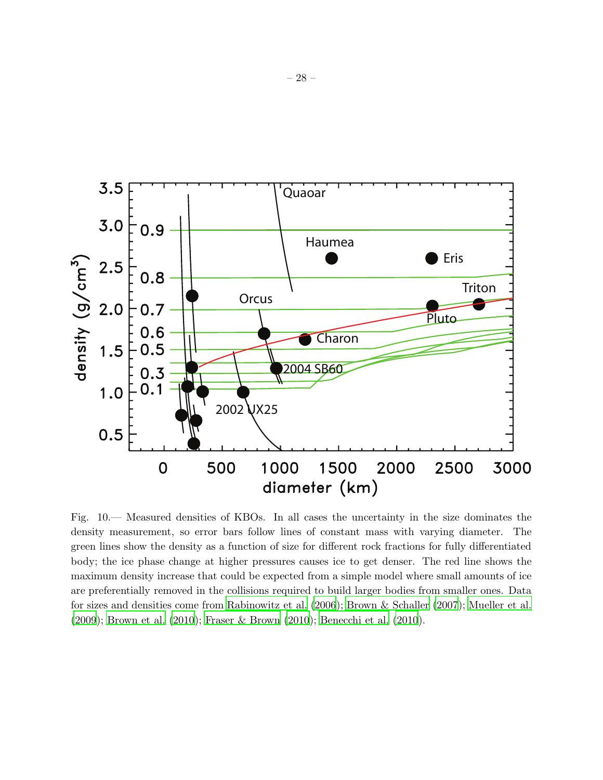

Fig. 10.— Measured densities of KBOs. In all cases the uncertainty in the size dominates the density measurement, so error bars follow lines of constant mass with varying diameter. The green lines show the density as a function of size for different rock fractions for fully differentiated body; the ice phase change at higher pressures causes ice to get denser. The red line shows the maximum density increase that could be expected from a simple model where small amounts of ice are preferentially removed in the collisions required to build larger bodies from smaller ones. Data for sizes and densities come from [Rabinowitz et al. \(2006](#page-36-5)); [Brown & Schaller \(2007](#page-33-13)); [Mueller et al.](#page-36-13) [\(2009](#page-36-13)); [Brown et al. \(2010](#page-33-14)); [Fraser & Brown \(2010](#page-35-14)); [Benecchi](#page-32-15) et al. [\(2010\)](#page-32-15).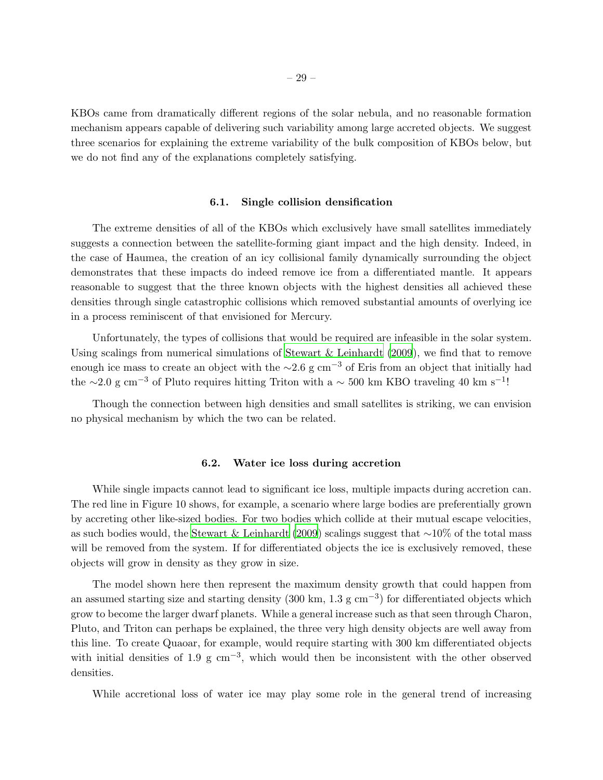KBOs came from dramatically different regions of the solar nebula, and no reasonable formation mechanism appears capable of delivering such variability among large accreted objects. We suggest three scenarios for explaining the extreme variability of the bulk composition of KBOs below, but we do not find any of the explanations completely satisfying.

### 6.1. Single collision densification

The extreme densities of all of the KBOs which exclusively have small satellites immediately suggests a connection between the satellite-forming giant impact and the high density. Indeed, in the case of Haumea, the creation of an icy collisional family dynamically surrounding the object demonstrates that these impacts do indeed remove ice from a differentiated mantle. It appears reasonable to suggest that the three known objects with the highest densities all achieved these densities through single catastrophic collisions which removed substantial amounts of overlying ice in a process reminiscent of that envisioned for Mercury.

Unfortunately, the types of collisions that would be required are infeasible in the solar system. Using scalings from numerical simulations of [Stewart & Leinhardt \(2009](#page-37-11)), we find that to remove enough ice mass to create an object with the  $\sim$ 2.6 g cm<sup>-3</sup> of Eris from an object that initially had the  $\sim$ 2.0 g cm<sup>-3</sup> of Pluto requires hitting Triton with a  $\sim$  500 km KBO traveling 40 km s<sup>-1</sup>!

Though the connection between high densities and small satellites is striking, we can envision no physical mechanism by which the two can be related.

## 6.2. Water ice loss during accretion

While single impacts cannot lead to significant ice loss, multiple impacts during accretion can. The red line in Figure 10 shows, for example, a scenario where large bodies are preferentially grown by accreting other like-sized bodies. For two bodies which collide at their mutual escape velocities, as such bodies would, the [Stewart & Leinhardt \(2009\)](#page-37-11) scalings suggest that ∼10% of the total mass will be removed from the system. If for differentiated objects the ice is exclusively removed, these objects will grow in density as they grow in size.

The model shown here then represent the maximum density growth that could happen from an assumed starting size and starting density  $(300 \text{ km}, 1.3 \text{ g cm}^{-3})$  for differentiated objects which grow to become the larger dwarf planets. While a general increase such as that seen through Charon, Pluto, and Triton can perhaps be explained, the three very high density objects are well away from this line. To create Quaoar, for example, would require starting with 300 km differentiated objects with initial densities of 1.9 g  $\text{cm}^{-3}$ , which would then be inconsistent with the other observed densities.

While accretional loss of water ice may play some role in the general trend of increasing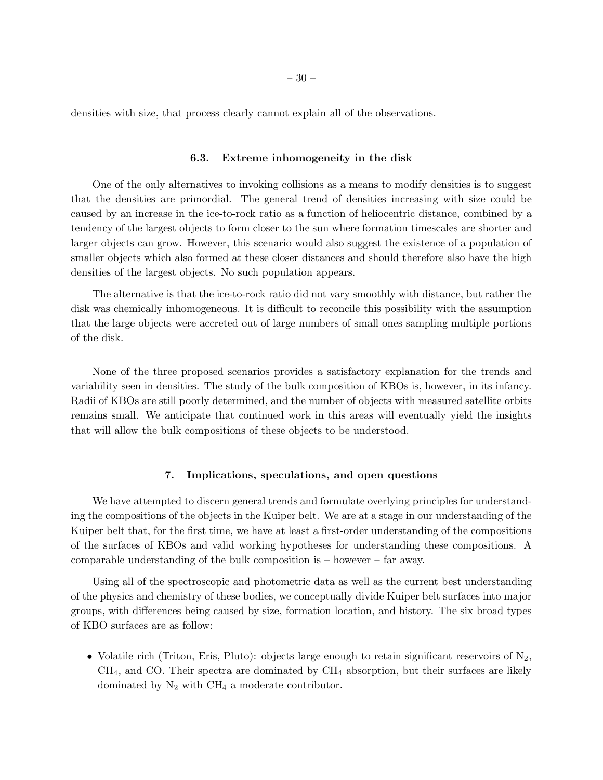densities with size, that process clearly cannot explain all of the observations.

### 6.3. Extreme inhomogeneity in the disk

One of the only alternatives to invoking collisions as a means to modify densities is to suggest that the densities are primordial. The general trend of densities increasing with size could be caused by an increase in the ice-to-rock ratio as a function of heliocentric distance, combined by a tendency of the largest objects to form closer to the sun where formation timescales are shorter and larger objects can grow. However, this scenario would also suggest the existence of a population of smaller objects which also formed at these closer distances and should therefore also have the high densities of the largest objects. No such population appears.

The alternative is that the ice-to-rock ratio did not vary smoothly with distance, but rather the disk was chemically inhomogeneous. It is difficult to reconcile this possibility with the assumption that the large objects were accreted out of large numbers of small ones sampling multiple portions of the disk.

None of the three proposed scenarios provides a satisfactory explanation for the trends and variability seen in densities. The study of the bulk composition of KBOs is, however, in its infancy. Radii of KBOs are still poorly determined, and the number of objects with measured satellite orbits remains small. We anticipate that continued work in this areas will eventually yield the insights that will allow the bulk compositions of these objects to be understood.

## 7. Implications, speculations, and open questions

We have attempted to discern general trends and formulate overlying principles for understanding the compositions of the objects in the Kuiper belt. We are at a stage in our understanding of the Kuiper belt that, for the first time, we have at least a first-order understanding of the compositions of the surfaces of KBOs and valid working hypotheses for understanding these compositions. A comparable understanding of the bulk composition is – however – far away.

Using all of the spectroscopic and photometric data as well as the current best understanding of the physics and chemistry of these bodies, we conceptually divide Kuiper belt surfaces into major groups, with differences being caused by size, formation location, and history. The six broad types of KBO surfaces are as follow:

• Volatile rich (Triton, Eris, Pluto): objects large enough to retain significant reservoirs of  $N_2$ ,  $CH<sub>4</sub>$ , and CO. Their spectra are dominated by  $CH<sub>4</sub>$  absorption, but their surfaces are likely dominated by  $N_2$  with  $CH_4$  a moderate contributor.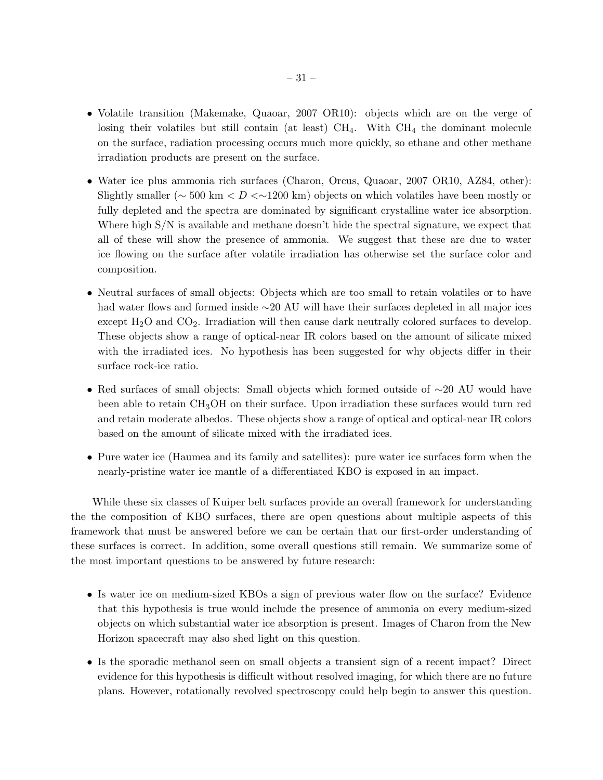- Volatile transition (Makemake, Quaoar, 2007 OR10): objects which are on the verge of losing their volatiles but still contain (at least)  $CH_4$ . With  $CH_4$  the dominant molecule on the surface, radiation processing occurs much more quickly, so ethane and other methane irradiation products are present on the surface.
- Water ice plus ammonia rich surfaces (Charon, Orcus, Quaoar, 2007 OR10, AZ84, other): Slightly smaller ( $\sim$  500 km < D < $\sim$ 1200 km) objects on which volatiles have been mostly or fully depleted and the spectra are dominated by significant crystalline water ice absorption. Where high S/N is available and methane doesn't hide the spectral signature, we expect that all of these will show the presence of ammonia. We suggest that these are due to water ice flowing on the surface after volatile irradiation has otherwise set the surface color and composition.
- Neutral surfaces of small objects: Objects which are too small to retain volatiles or to have had water flows and formed inside ∼20 AU will have their surfaces depleted in all major ices except  $H_2O$  and  $CO_2$ . Irradiation will then cause dark neutrally colored surfaces to develop. These objects show a range of optical-near IR colors based on the amount of silicate mixed with the irradiated ices. No hypothesis has been suggested for why objects differ in their surface rock-ice ratio.
- Red surfaces of small objects: Small objects which formed outside of ∼20 AU would have been able to retain CH3OH on their surface. Upon irradiation these surfaces would turn red and retain moderate albedos. These objects show a range of optical and optical-near IR colors based on the amount of silicate mixed with the irradiated ices.
- Pure water ice (Haumea and its family and satellites): pure water ice surfaces form when the nearly-pristine water ice mantle of a differentiated KBO is exposed in an impact.

While these six classes of Kuiper belt surfaces provide an overall framework for understanding the the composition of KBO surfaces, there are open questions about multiple aspects of this framework that must be answered before we can be certain that our first-order understanding of these surfaces is correct. In addition, some overall questions still remain. We summarize some of the most important questions to be answered by future research:

- Is water ice on medium-sized KBOs a sign of previous water flow on the surface? Evidence that this hypothesis is true would include the presence of ammonia on every medium-sized objects on which substantial water ice absorption is present. Images of Charon from the New Horizon spacecraft may also shed light on this question.
- Is the sporadic methanol seen on small objects a transient sign of a recent impact? Direct evidence for this hypothesis is difficult without resolved imaging, for which there are no future plans. However, rotationally revolved spectroscopy could help begin to answer this question.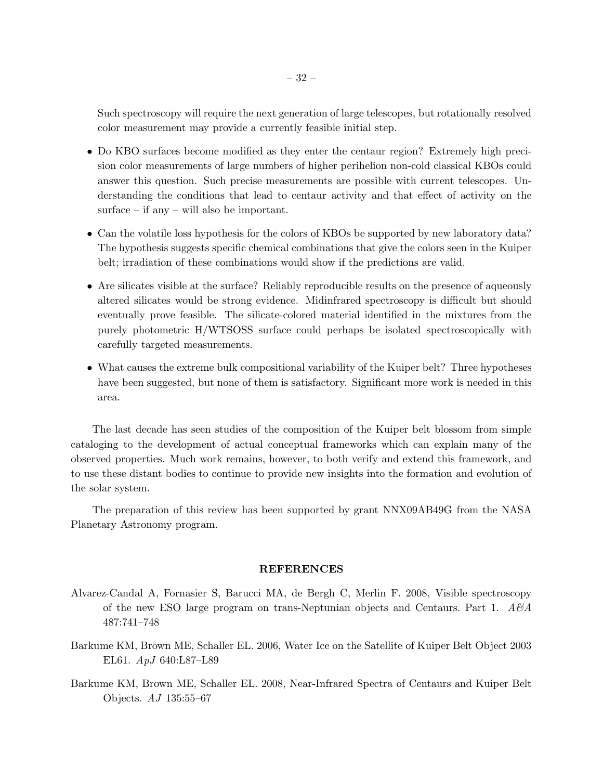Such spectroscopy will require the next generation of large telescopes, but rotationally resolved color measurement may provide a currently feasible initial step.

- Do KBO surfaces become modified as they enter the centaur region? Extremely high precision color measurements of large numbers of higher perihelion non-cold classical KBOs could answer this question. Such precise measurements are possible with current telescopes. Understanding the conditions that lead to centaur activity and that effect of activity on the surface – if any – will also be important.
- Can the volatile loss hypothesis for the colors of KBOs be supported by new laboratory data? The hypothesis suggests specific chemical combinations that give the colors seen in the Kuiper belt; irradiation of these combinations would show if the predictions are valid.
- Are silicates visible at the surface? Reliably reproducible results on the presence of aqueously altered silicates would be strong evidence. Midinfrared spectroscopy is difficult but should eventually prove feasible. The silicate-colored material identified in the mixtures from the purely photometric H/WTSOSS surface could perhaps be isolated spectroscopically with carefully targeted measurements.
- What causes the extreme bulk compositional variability of the Kuiper belt? Three hypotheses have been suggested, but none of them is satisfactory. Significant more work is needed in this area.

The last decade has seen studies of the composition of the Kuiper belt blossom from simple cataloging to the development of actual conceptual frameworks which can explain many of the observed properties. Much work remains, however, to both verify and extend this framework, and to use these distant bodies to continue to provide new insights into the formation and evolution of the solar system.

The preparation of this review has been supported by grant NNX09AB49G from the NASA Planetary Astronomy program.

# REFERENCES

- <span id="page-31-2"></span>Alvarez-Candal A, Fornasier S, Barucci MA, de Bergh C, Merlin F. 2008, Visible spectroscopy of the new ESO large program on trans-Neptunian objects and Centaurs. Part 1. *A&A* 487:741–748
- <span id="page-31-0"></span>Barkume KM, Brown ME, Schaller EL. 2006, Water Ice on the Satellite of Kuiper Belt Object 2003 EL61. *ApJ* 640:L87–L89
- <span id="page-31-1"></span>Barkume KM, Brown ME, Schaller EL. 2008, Near-Infrared Spectra of Centaurs and Kuiper Belt Objects. *AJ* 135:55–67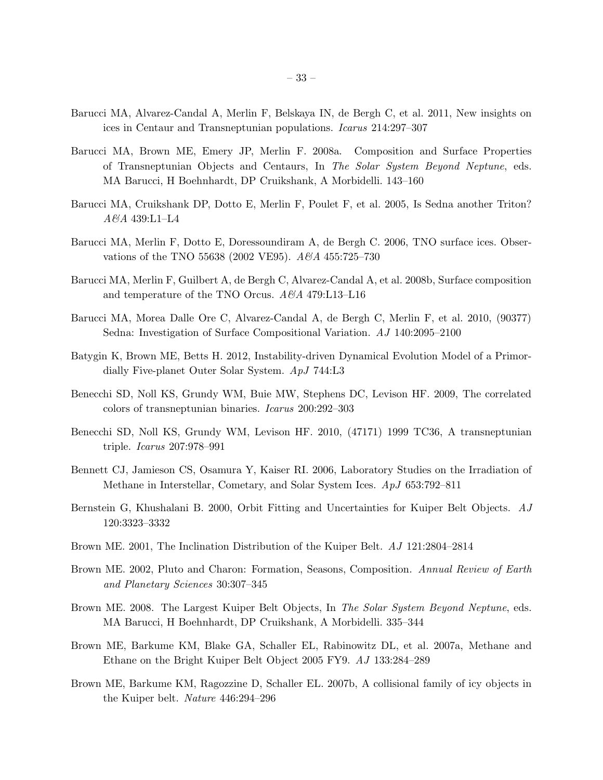- <span id="page-32-8"></span>Barucci MA, Alvarez-Candal A, Merlin F, Belskaya IN, de Bergh C, et al. 2011, New insights on ices in Centaur and Transneptunian populations. *Icarus* 214:297–307
- <span id="page-32-11"></span>Barucci MA, Brown ME, Emery JP, Merlin F. 2008a. Composition and Surface Properties of Transneptunian Objects and Centaurs, In *The Solar System Beyond Neptune*, eds. MA Barucci, H Boehnhardt, DP Cruikshank, A Morbidelli. 143–160
- <span id="page-32-3"></span>Barucci MA, Cruikshank DP, Dotto E, Merlin F, Poulet F, et al. 2005, Is Sedna another Triton? *A&A* 439:L1–L4
- <span id="page-32-10"></span>Barucci MA, Merlin F, Dotto E, Doressoundiram A, de Bergh C. 2006, TNO surface ices. Observations of the TNO 55638 (2002 VE95). *A&A* 455:725–730
- <span id="page-32-9"></span>Barucci MA, Merlin F, Guilbert A, de Bergh C, Alvarez-Candal A, et al. 2008b, Surface composition and temperature of the TNO Orcus. *A&A* 479:L13–L16
- <span id="page-32-5"></span>Barucci MA, Morea Dalle Ore C, Alvarez-Candal A, de Bergh C, Merlin F, et al. 2010, (90377) Sedna: Investigation of Surface Compositional Variation. *AJ* 140:2095–2100
- <span id="page-32-14"></span>Batygin K, Brown ME, Betts H. 2012, Instability-driven Dynamical Evolution Model of a Primordially Five-planet Outer Solar System. *ApJ* 744:L3
- <span id="page-32-13"></span>Benecchi SD, Noll KS, Grundy WM, Buie MW, Stephens DC, Levison HF. 2009, The correlated colors of transneptunian binaries. *Icarus* 200:292–303
- <span id="page-32-15"></span>Benecchi SD, Noll KS, Grundy WM, Levison HF. 2010, (47171) 1999 TC36, A transneptunian triple. *Icarus* 207:978–991
- <span id="page-32-6"></span>Bennett CJ, Jamieson CS, Osamura Y, Kaiser RI. 2006, Laboratory Studies on the Irradiation of Methane in Interstellar, Cometary, and Solar System Ices. *ApJ* 653:792–811
- <span id="page-32-0"></span>Bernstein G, Khushalani B. 2000, Orbit Fitting and Uncertainties for Kuiper Belt Objects. *AJ* 120:3323–3332
- <span id="page-32-12"></span>Brown ME. 2001, The Inclination Distribution of the Kuiper Belt. *AJ* 121:2804–2814
- <span id="page-32-1"></span>Brown ME. 2002, Pluto and Charon: Formation, Seasons, Composition. *Annual Review of Earth and Planetary Sciences* 30:307–345
- <span id="page-32-2"></span>Brown ME. 2008. The Largest Kuiper Belt Objects, In *The Solar System Beyond Neptune*, eds. MA Barucci, H Boehnhardt, DP Cruikshank, A Morbidelli. 335–344
- <span id="page-32-4"></span>Brown ME, Barkume KM, Blake GA, Schaller EL, Rabinowitz DL, et al. 2007a, Methane and Ethane on the Bright Kuiper Belt Object 2005 FY9. *AJ* 133:284–289
- <span id="page-32-7"></span>Brown ME, Barkume KM, Ragozzine D, Schaller EL. 2007b, A collisional family of icy objects in the Kuiper belt. *Nature* 446:294–296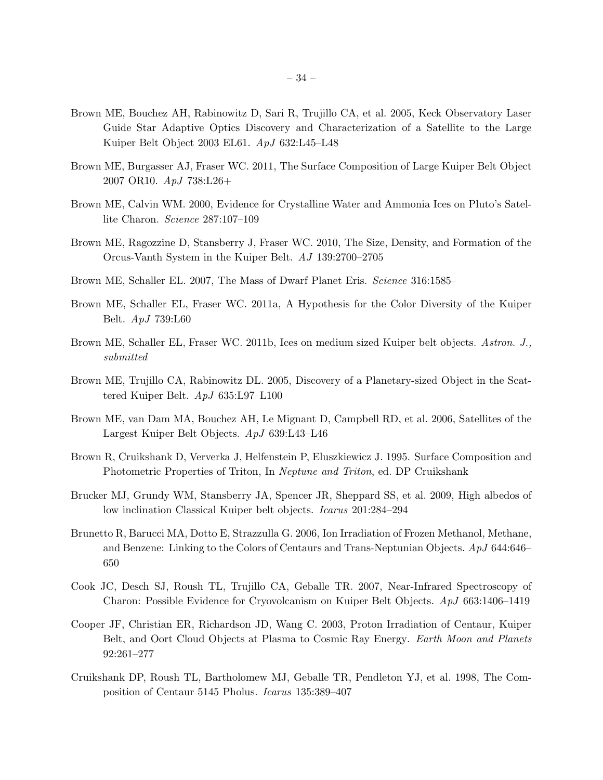- <span id="page-33-4"></span>Brown ME, Bouchez AH, Rabinowitz D, Sari R, Trujillo CA, et al. 2005, Keck Observatory Laser Guide Star Adaptive Optics Discovery and Characterization of a Satellite to the Large Kuiper Belt Object 2003 EL61. *ApJ* 632:L45–L48
- <span id="page-33-2"></span>Brown ME, Burgasser AJ, Fraser WC. 2011, The Surface Composition of Large Kuiper Belt Object 2007 OR10. *ApJ* 738:L26+
- <span id="page-33-7"></span>Brown ME, Calvin WM. 2000, Evidence for Crystalline Water and Ammonia Ices on Pluto's Satellite Charon. *Science* 287:107–109
- <span id="page-33-14"></span>Brown ME, Ragozzine D, Stansberry J, Fraser WC. 2010, The Size, Density, and Formation of the Orcus-Vanth System in the Kuiper Belt. *AJ* 139:2700–2705
- <span id="page-33-13"></span>Brown ME, Schaller EL. 2007, The Mass of Dwarf Planet Eris. *Science* 316:1585–
- <span id="page-33-12"></span>Brown ME, Schaller EL, Fraser WC. 2011a, A Hypothesis for the Color Diversity of the Kuiper Belt. *ApJ* 739:L60
- <span id="page-33-6"></span>Brown ME, Schaller EL, Fraser WC. 2011b, Ices on medium sized Kuiper belt objects. *Astron. J., submitted*
- <span id="page-33-1"></span>Brown ME, Trujillo CA, Rabinowitz DL. 2005, Discovery of a Planetary-sized Object in the Scattered Kuiper Belt. *ApJ* 635:L97–L100
- <span id="page-33-5"></span>Brown ME, van Dam MA, Bouchez AH, Le Mignant D, Campbell RD, et al. 2006, Satellites of the Largest Kuiper Belt Objects. *ApJ* 639:L43–L46
- <span id="page-33-0"></span>Brown R, Cruikshank D, Ververka J, Helfenstein P, Eluszkiewicz J. 1995. Surface Composition and Photometric Properties of Triton, In *Neptune and Triton*, ed. DP Cruikshank
- <span id="page-33-10"></span>Brucker MJ, Grundy WM, Stansberry JA, Spencer JR, Sheppard SS, et al. 2009, High albedos of low inclination Classical Kuiper belt objects. *Icarus* 201:284–294
- <span id="page-33-3"></span>Brunetto R, Barucci MA, Dotto E, Strazzulla G. 2006, Ion Irradiation of Frozen Methanol, Methane, and Benzene: Linking to the Colors of Centaurs and Trans-Neptunian Objects. *ApJ* 644:646– 650
- <span id="page-33-8"></span>Cook JC, Desch SJ, Roush TL, Trujillo CA, Geballe TR. 2007, Near-Infrared Spectroscopy of Charon: Possible Evidence for Cryovolcanism on Kuiper Belt Objects. *ApJ* 663:1406–1419
- <span id="page-33-11"></span>Cooper JF, Christian ER, Richardson JD, Wang C. 2003, Proton Irradiation of Centaur, Kuiper Belt, and Oort Cloud Objects at Plasma to Cosmic Ray Energy. *Earth Moon and Planets* 92:261–277
- <span id="page-33-9"></span>Cruikshank DP, Roush TL, Bartholomew MJ, Geballe TR, Pendleton YJ, et al. 1998, The Composition of Centaur 5145 Pholus. *Icarus* 135:389–407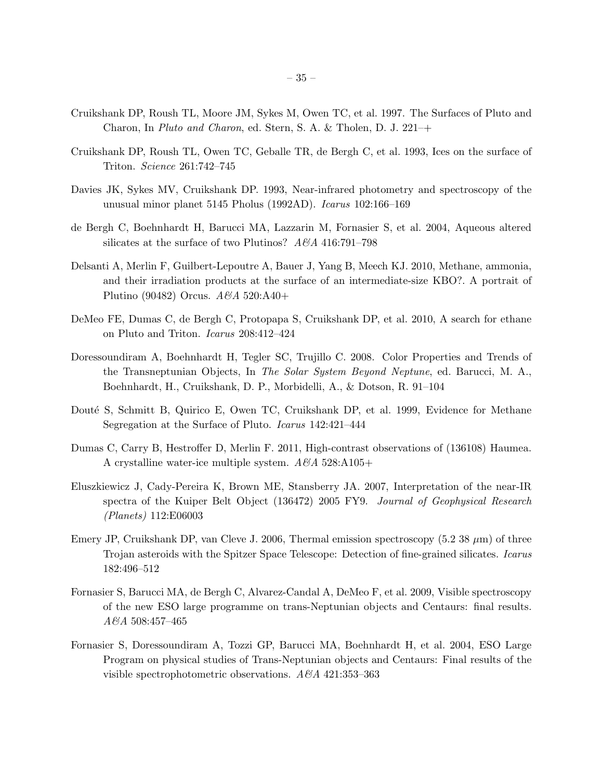- <span id="page-34-0"></span>Cruikshank DP, Roush TL, Moore JM, Sykes M, Owen TC, et al. 1997. The Surfaces of Pluto and Charon, In *Pluto and Charon*, ed. Stern, S. A. & Tholen, D. J. 221–+
- <span id="page-34-2"></span>Cruikshank DP, Roush TL, Owen TC, Geballe TR, de Bergh C, et al. 1993, Ices on the surface of Triton. *Science* 261:742–745
- <span id="page-34-7"></span>Davies JK, Sykes MV, Cruikshank DP. 1993, Near-infrared photometry and spectroscopy of the unusual minor planet 5145 Pholus (1992AD). *Icarus* 102:166–169
- <span id="page-34-10"></span>de Bergh C, Boehnhardt H, Barucci MA, Lazzarin M, Fornasier S, et al. 2004, Aqueous altered silicates at the surface of two Plutinos? *A&A* 416:791–798
- <span id="page-34-5"></span>Delsanti A, Merlin F, Guilbert-Lepoutre A, Bauer J, Yang B, Meech KJ. 2010, Methane, ammonia, and their irradiation products at the surface of an intermediate-size KBO?. A portrait of Plutino (90482) Orcus. *A&A* 520:A40+
- <span id="page-34-4"></span>DeMeo FE, Dumas C, de Bergh C, Protopapa S, Cruikshank DP, et al. 2010, A search for ethane on Pluto and Triton. *Icarus* 208:412–424
- <span id="page-34-12"></span>Doressoundiram A, Boehnhardt H, Tegler SC, Trujillo C. 2008. Color Properties and Trends of the Transneptunian Objects, In *The Solar System Beyond Neptune*, ed. Barucci, M. A., Boehnhardt, H., Cruikshank, D. P., Morbidelli, A., & Dotson, R. 91–104
- <span id="page-34-3"></span>Douté S, Schmitt B, Quirico E, Owen TC, Cruikshank DP, et al. 1999, Evidence for Methane Segregation at the Surface of Pluto. *Icarus* 142:421–444
- <span id="page-34-6"></span>Dumas C, Carry B, Hestroffer D, Merlin F. 2011, High-contrast observations of (136108) Haumea. A crystalline water-ice multiple system. *A&A* 528:A105+
- <span id="page-34-1"></span>Eluszkiewicz J, Cady-Pereira K, Brown ME, Stansberry JA. 2007, Interpretation of the near-IR spectra of the Kuiper Belt Object (136472) 2005 FY9. *Journal of Geophysical Research (Planets)* 112:E06003
- <span id="page-34-8"></span>Emery JP, Cruikshank DP, van Cleve J. 2006, Thermal emission spectroscopy (5.2 38  $\mu$ m) of three Trojan asteroids with the Spitzer Space Telescope: Detection of fine-grained silicates. *Icarus* 182:496–512
- <span id="page-34-11"></span>Fornasier S, Barucci MA, de Bergh C, Alvarez-Candal A, DeMeo F, et al. 2009, Visible spectroscopy of the new ESO large programme on trans-Neptunian objects and Centaurs: final results. *A&A* 508:457–465
- <span id="page-34-9"></span>Fornasier S, Doressoundiram A, Tozzi GP, Barucci MA, Boehnhardt H, et al. 2004, ESO Large Program on physical studies of Trans-Neptunian objects and Centaurs: Final results of the visible spectrophotometric observations. *A&A* 421:353–363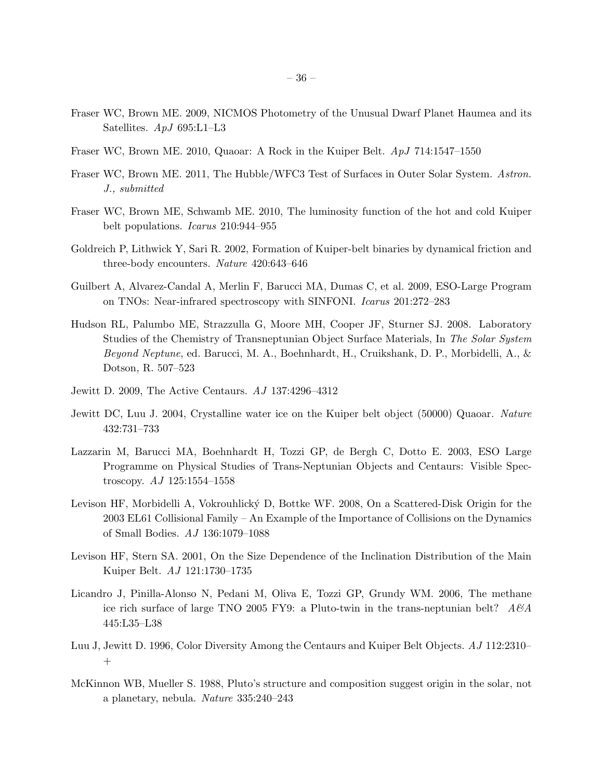- <span id="page-35-2"></span>Fraser WC, Brown ME. 2009, NICMOS Photometry of the Unusual Dwarf Planet Haumea and its Satellites. *ApJ* 695:L1–L3
- <span id="page-35-14"></span>Fraser WC, Brown ME. 2010, Quaoar: A Rock in the Kuiper Belt. *ApJ* 714:1547–1550
- <span id="page-35-7"></span>Fraser WC, Brown ME. 2011, The Hubble/WFC3 Test of Surfaces in Outer Solar System. *Astron. J., submitted*
- <span id="page-35-9"></span>Fraser WC, Brown ME, Schwamb ME. 2010, The luminosity function of the hot and cold Kuiper belt populations. *Icarus* 210:944–955
- <span id="page-35-10"></span>Goldreich P, Lithwick Y, Sari R. 2002, Formation of Kuiper-belt binaries by dynamical friction and three-body encounters. *Nature* 420:643–646
- <span id="page-35-5"></span>Guilbert A, Alvarez-Candal A, Merlin F, Barucci MA, Dumas C, et al. 2009, ESO-Large Program on TNOs: Near-infrared spectroscopy with SINFONI. *Icarus* 201:272–283
- <span id="page-35-1"></span>Hudson RL, Palumbo ME, Strazzulla G, Moore MH, Cooper JF, Sturner SJ. 2008. Laboratory Studies of the Chemistry of Transneptunian Object Surface Materials, In *The Solar System Beyond Neptune*, ed. Barucci, M. A., Boehnhardt, H., Cruikshank, D. P., Morbidelli, A., & Dotson, R. 507–523
- <span id="page-35-11"></span>Jewitt D. 2009, The Active Centaurs. *AJ* 137:4296–4312
- <span id="page-35-4"></span>Jewitt DC, Luu J. 2004, Crystalline water ice on the Kuiper belt object (50000) Quaoar. *Nature* 432:731–733
- <span id="page-35-6"></span>Lazzarin M, Barucci MA, Boehnhardt H, Tozzi GP, de Bergh C, Dotto E. 2003, ESO Large Programme on Physical Studies of Trans-Neptunian Objects and Centaurs: Visible Spectroscopy. *AJ* 125:1554–1558
- <span id="page-35-3"></span>Levison HF, Morbidelli A, Vokrouhlický D, Bottke WF. 2008, On a Scattered-Disk Origin for the 2003 EL61 Collisional Family – An Example of the Importance of Collisions on the Dynamics of Small Bodies. *AJ* 136:1079–1088
- <span id="page-35-8"></span>Levison HF, Stern SA. 2001, On the Size Dependence of the Inclination Distribution of the Main Kuiper Belt. *AJ* 121:1730–1735
- <span id="page-35-0"></span>Licandro J, Pinilla-Alonso N, Pedani M, Oliva E, Tozzi GP, Grundy WM. 2006, The methane ice rich surface of large TNO 2005 FY9: a Pluto-twin in the trans-neptunian belt? *A&A* 445:L35–L38
- <span id="page-35-12"></span>Luu J, Jewitt D. 1996, Color Diversity Among the Centaurs and Kuiper Belt Objects. *AJ* 112:2310–  $+$
- <span id="page-35-13"></span>McKinnon WB, Mueller S. 1988, Pluto's structure and composition suggest origin in the solar, not a planetary, nebula. *Nature* 335:240–243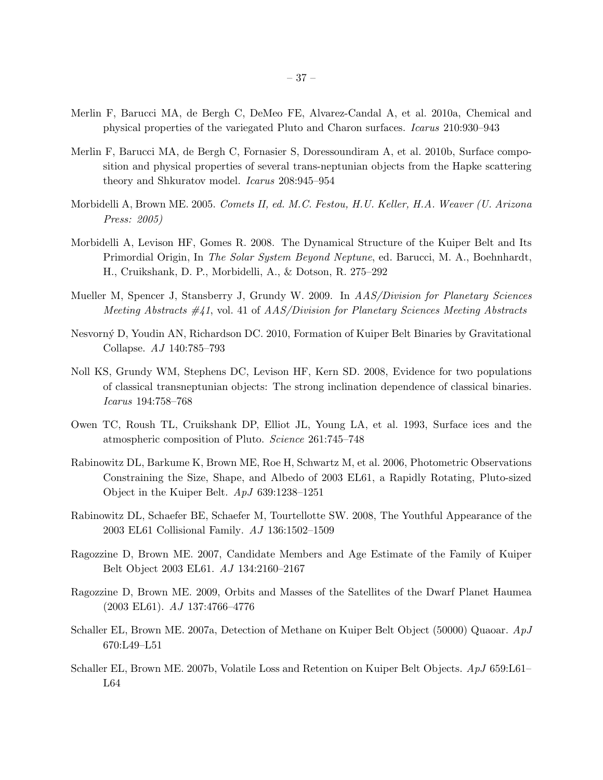- <span id="page-36-4"></span>Merlin F, Barucci MA, de Bergh C, DeMeo FE, Alvarez-Candal A, et al. 2010a, Chemical and physical properties of the variegated Pluto and Charon surfaces. *Icarus* 210:930–943
- <span id="page-36-9"></span>Merlin F, Barucci MA, de Bergh C, Fornasier S, Doressoundiram A, et al. 2010b, Surface composition and physical properties of several trans-neptunian objects from the Hapke scattering theory and Shkuratov model. *Icarus* 208:945–954
- <span id="page-36-10"></span>Morbidelli A, Brown ME. 2005. *Comets II, ed. M.C. Festou, H.U. Keller, H.A. Weaver (U. Arizona Press: 2005)*
- <span id="page-36-0"></span>Morbidelli A, Levison HF, Gomes R. 2008. The Dynamical Structure of the Kuiper Belt and Its Primordial Origin, In *The Solar System Beyond Neptune*, ed. Barucci, M. A., Boehnhardt, H., Cruikshank, D. P., Morbidelli, A., & Dotson, R. 275–292
- <span id="page-36-13"></span>Mueller M, Spencer J, Stansberry J, Grundy W. 2009. In *AAS/Division for Planetary Sciences Meeting Abstracts #41*, vol. 41 of *AAS/Division for Planetary Sciences Meeting Abstracts*
- <span id="page-36-12"></span>Nesvorn´y D, Youdin AN, Richardson DC. 2010, Formation of Kuiper Belt Binaries by Gravitational Collapse. *AJ* 140:785–793
- <span id="page-36-11"></span>Noll KS, Grundy WM, Stephens DC, Levison HF, Kern SD. 2008, Evidence for two populations of classical transneptunian objects: The strong inclination dependence of classical binaries. *Icarus* 194:758–768
- <span id="page-36-2"></span>Owen TC, Roush TL, Cruikshank DP, Elliot JL, Young LA, et al. 1993, Surface ices and the atmospheric composition of Pluto. *Science* 261:745–748
- <span id="page-36-5"></span>Rabinowitz DL, Barkume K, Brown ME, Roe H, Schwartz M, et al. 2006, Photometric Observations Constraining the Size, Shape, and Albedo of 2003 EL61, a Rapidly Rotating, Pluto-sized Object in the Kuiper Belt. *ApJ* 639:1238–1251
- <span id="page-36-7"></span>Rabinowitz DL, Schaefer BE, Schaefer M, Tourtellotte SW. 2008, The Youthful Appearance of the 2003 EL61 Collisional Family. *AJ* 136:1502–1509
- <span id="page-36-8"></span>Ragozzine D, Brown ME. 2007, Candidate Members and Age Estimate of the Family of Kuiper Belt Object 2003 EL61. *AJ* 134:2160–2167
- <span id="page-36-6"></span>Ragozzine D, Brown ME. 2009, Orbits and Masses of the Satellites of the Dwarf Planet Haumea (2003 EL61). *AJ* 137:4766–4776
- <span id="page-36-1"></span>Schaller EL, Brown ME. 2007a, Detection of Methane on Kuiper Belt Object (50000) Quaoar. *ApJ* 670:L49–L51
- <span id="page-36-3"></span>Schaller EL, Brown ME. 2007b, Volatile Loss and Retention on Kuiper Belt Objects. *ApJ* 659:L61– L64